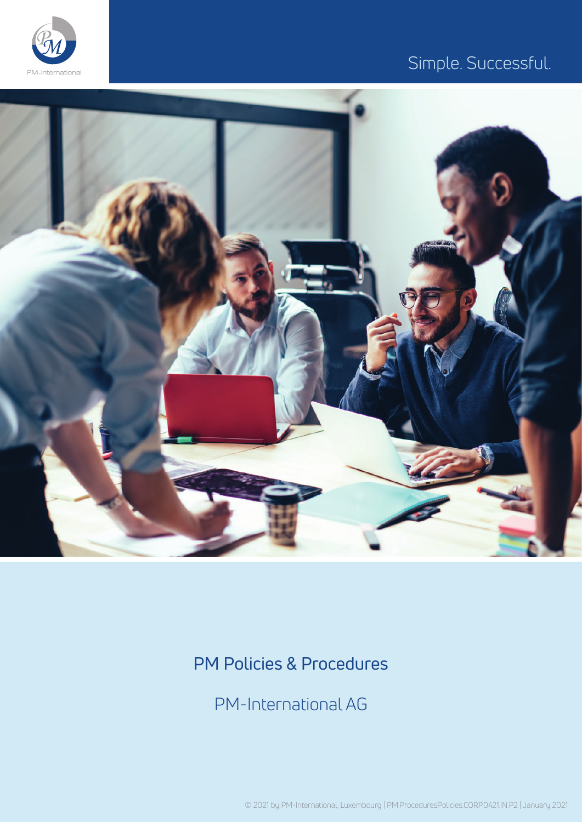

## Simple. Successful.



## PM Policies & Procedures

PM-International AG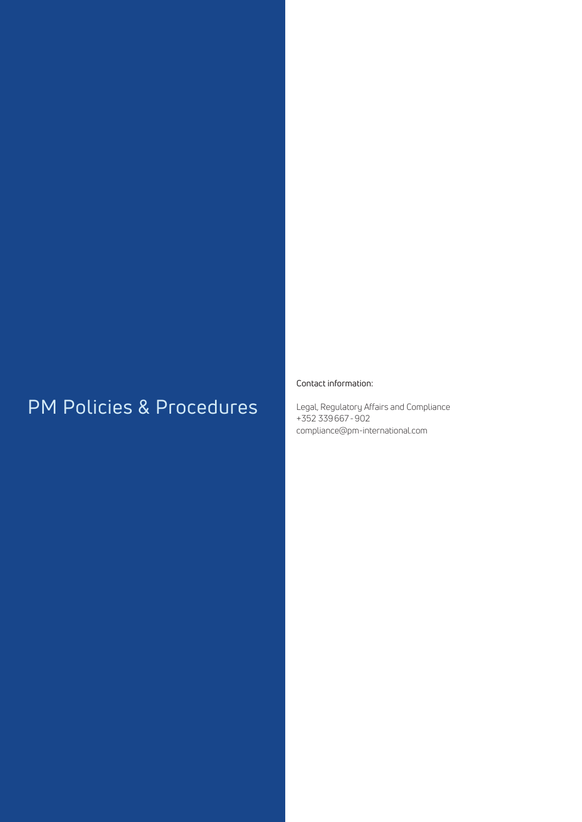# PM Policies & Procedures

### Contact information:

Legal, Regulatory Affairs and Compliance +352 339667-902 compliance@pm-international.com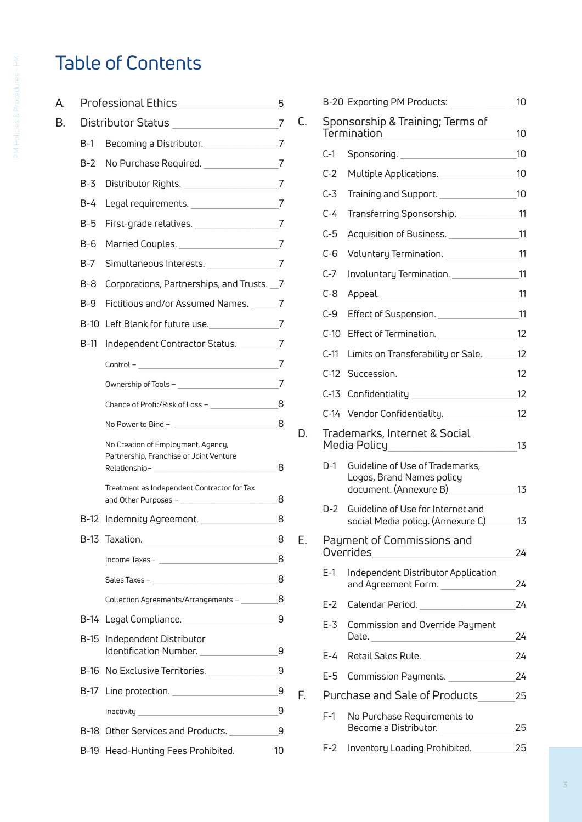# Table of Contents

| A. |                                   | Professional Ethics Professional                                                               |    |
|----|-----------------------------------|------------------------------------------------------------------------------------------------|----|
| В. | Distributor Status ______________ |                                                                                                | 7  |
|    | $B-1$                             | Becoming a Distributor. ______________                                                         | 7  |
|    | $B-2$                             | No Purchase Required.                                                                          | 7  |
|    | $B-3$                             | Distributor Rights.                                                                            | 7  |
|    | B-4                               | Legal requirements.                                                                            | 7  |
|    | B-5                               | First-grade relatives. _________________                                                       | 7  |
|    | B-6                               | Married Couples.                                                                               | 7  |
|    | $B-7$                             | Simultaneous Interests.                                                                        | 7  |
|    | B-8                               | Corporations, Partnerships, and Trusts. 7                                                      |    |
|    | B-9                               | Fictitious and/or Assumed Names.                                                               | 7  |
|    |                                   | B-10 Left Blank for future use.                                                                | 7  |
|    | B-11                              | Independent Contractor Status.                                                                 | 7  |
|    |                                   | Control –                                                                                      | 7  |
|    |                                   | Ownership of Tools – <b>Campbell</b> Communications of Tools –                                 | 7  |
|    |                                   | Chance of Profit/Risk of Loss –                                                                | 8  |
|    |                                   |                                                                                                | 8  |
|    |                                   | No Creation of Employment, Agency,<br>Partnership, Franchise or Joint Venture<br>Relationship- | 8  |
|    |                                   | Treatment as Independent Contractor for Tax<br>and Other Purposes - ____________               | 8  |
|    |                                   | B-12 Indemnity Agreement.                                                                      | 8  |
|    |                                   | B-13 Taxation.                                                                                 | 8  |
|    |                                   |                                                                                                | 8  |
|    |                                   |                                                                                                | 8  |
|    |                                   | Collection Agreements/Arrangements - _________                                                 | 8  |
|    | B-14                              | Legal Compliance.                                                                              | 9  |
|    | B-15                              | Independent Distributor<br>Identification Number.                                              | 9  |
|    |                                   | B-16 No Exclusive Territories.                                                                 | 9  |
|    | B-17                              |                                                                                                | 9  |
|    |                                   |                                                                                                | 9  |
|    |                                   | B-18 Other Services and Products.                                                              | 9  |
|    |                                   | B-19 Head-Hunting Fees Prohibited.                                                             | 10 |

|    |                                                 | B-20 Exporting PM Products:                                                                                    | 10 |  |
|----|-------------------------------------------------|----------------------------------------------------------------------------------------------------------------|----|--|
| C. | Sponsorship & Training; Terms of<br>Termination |                                                                                                                | 10 |  |
|    | $C-1$                                           | Sponsoring.                                                                                                    | 10 |  |
|    | $C-2$                                           | Multiple Applications.                                                                                         | 10 |  |
|    | $C-3$                                           | Training and Support.                                                                                          | 10 |  |
|    | $C-4$                                           | Transferring Sponsorship.                                                                                      | 11 |  |
|    | $C-5$                                           | Acquisition of Business.                                                                                       | 11 |  |
|    | $C-6$                                           | Voluntary Termination.                                                                                         | 11 |  |
|    | $C-7$                                           | Involuntary Termination.                                                                                       | 11 |  |
|    | $C-8$                                           |                                                                                                                | 11 |  |
|    | $C-9$                                           | Effect of Suspension. ____________                                                                             | 11 |  |
|    | $C-10$                                          | Effect of Termination.                                                                                         | 12 |  |
|    | $C-11$                                          | Limits on Transferability or Sale.                                                                             | 12 |  |
|    | $C-12$                                          | Succession.                                                                                                    | 12 |  |
|    | C-13                                            | Confidentiality __________________                                                                             | 12 |  |
|    |                                                 | C-14 Vendor Confidentiality.                                                                                   | 12 |  |
| D. |                                                 | Trademarks, Internet & Social<br>Media Policy                                                                  |    |  |
|    | D-1                                             | Guideline of Use of Trademarks,<br>Logos, Brand Names policy<br>document. (Annexure B)                         | 13 |  |
|    | D-2 -                                           | Guideline of Use for Internet and<br>social Media policy. (Annexure C)                                         | 13 |  |
| Е. | Payment of Commissions and<br>Overrides         |                                                                                                                | 24 |  |
|    | $E-1$                                           | Independent Distributor Application<br>and Agreement Form. _____________                                       | 24 |  |
|    | $E-2$                                           | Calendar Period. The control of the control of the control of the control of the control of the control of the | 24 |  |
|    | $E-3$                                           | Commission and Override Payment<br>Date.                                                                       | 24 |  |
|    | $E-4$                                           | Retail Sales Rule.                                                                                             | 24 |  |
|    | $E-5$                                           | Commission Payments.                                                                                           | 24 |  |
| F. |                                                 | Purchase and Sale of Products                                                                                  |    |  |
|    | $F-1$                                           | No Purchase Requirements to<br>Become a Distributor.                                                           | 25 |  |
|    | $F-2$                                           | Inventory Loading Prohibited.                                                                                  | 25 |  |
|    |                                                 |                                                                                                                |    |  |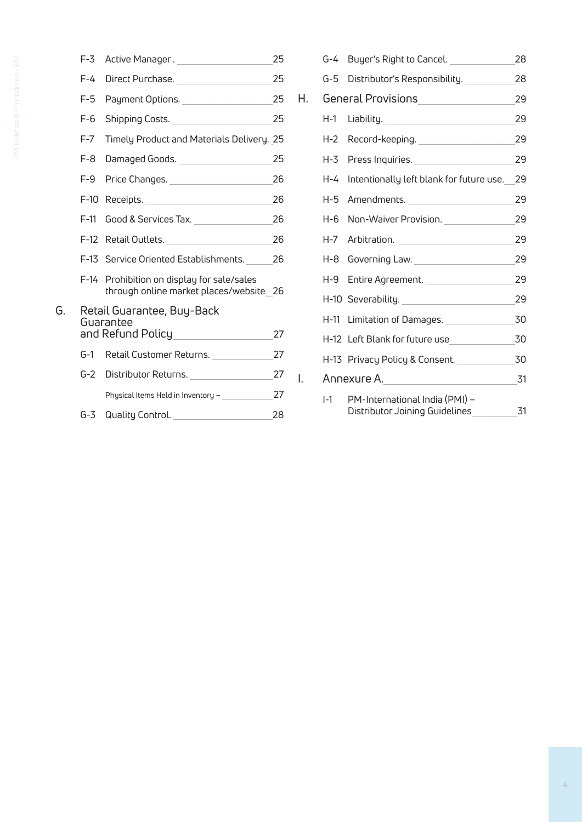| I<br>Ì<br>Ï                                  |  |
|----------------------------------------------|--|
| ł<br>l<br>)<br>j<br>Ì<br>ļ<br>j              |  |
| l<br>Ï<br><b>Contract Contract</b><br>Ì<br>j |  |
| I<br>Ì<br>S<br>Ï<br>ł<br>Ï                   |  |
| j<br>ł<br>Ì<br>i<br>j<br>Ì<br>j<br>ţ<br>l    |  |
| I<br>Ì                                       |  |

|    | $F-3$   | Active Manager.                                                                                                | 25 |
|----|---------|----------------------------------------------------------------------------------------------------------------|----|
|    | $F-4$   | Direct Purchase. _________________                                                                             | 25 |
|    | $F-5$   |                                                                                                                | 25 |
|    | $F-6$   | Shipping Costs.                                                                                                | 25 |
|    | $F - 7$ | Timely Product and Materials Delivery. 25                                                                      |    |
|    | $F-8$   | Damaged Goods.                                                                                                 | 25 |
|    | $F-9$   | Price Changes. _____________________                                                                           | 26 |
|    | $F-10$  | Receipts. Note that the state of the state of the state of the state of the state of the state of the state of | 26 |
|    | $F-11$  | Good & Services Tax. ______________                                                                            | 26 |
|    | $F-12$  | Retail Outlets.                                                                                                | 26 |
|    | $F-13$  | Service Oriented Establishments.                                                                               | 26 |
|    | F-14    | Prohibition on display for sale/sales<br>through online market places/website 26                               |    |
| G. |         | Retail Guarantee, Buy-Back                                                                                     |    |
|    |         | Guarantee<br>and Refund Policy_______________                                                                  | 27 |
|    | G-1     | Retail Customer Returns.                                                                                       | 27 |
|    | G-2     | Distributor Returns.                                                                                           | 27 |
|    |         | Physical Items Held in Inventory - _________                                                                   | 27 |
|    | G-3.    | Quality Control. <b>Example 20</b>                                                                             | 28 |
|    |         |                                                                                                                |    |

|    |       | G-4 Buyer's Right to Cancel.                                     | 28 |
|----|-------|------------------------------------------------------------------|----|
|    |       | G-5 Distributor's Responsibility.                                | 28 |
| Н. |       | General Provisions _______________                               | 29 |
|    | H-1   |                                                                  | 29 |
|    | H-2   | Record-keeping.                                                  | 29 |
|    |       | H-3 Press Inquiries.                                             | 29 |
|    | H-4   | Intentionally left blank for future use.                         | 29 |
|    | H-5   | Amendments.                                                      | 29 |
|    | H-6   | Non-Waiver Provision.                                            | 29 |
|    | H-7   |                                                                  | 29 |
|    |       | H-8 Governing Law.                                               | 29 |
|    |       | H-9 Entire Agreement.                                            | 29 |
|    |       | H-10 Severability.                                               | 29 |
|    |       | H-11 Limitation of Damages.                                      | 30 |
|    |       | H-12 Left Blank for future use                                   | 30 |
|    |       | H-13 Privacy Policy & Consent.                                   | 30 |
| I. |       | Annexure A. _____________________                                | 31 |
|    | $I-1$ | PM-International India (PMI) -<br>Distributor Joining Guidelines | 31 |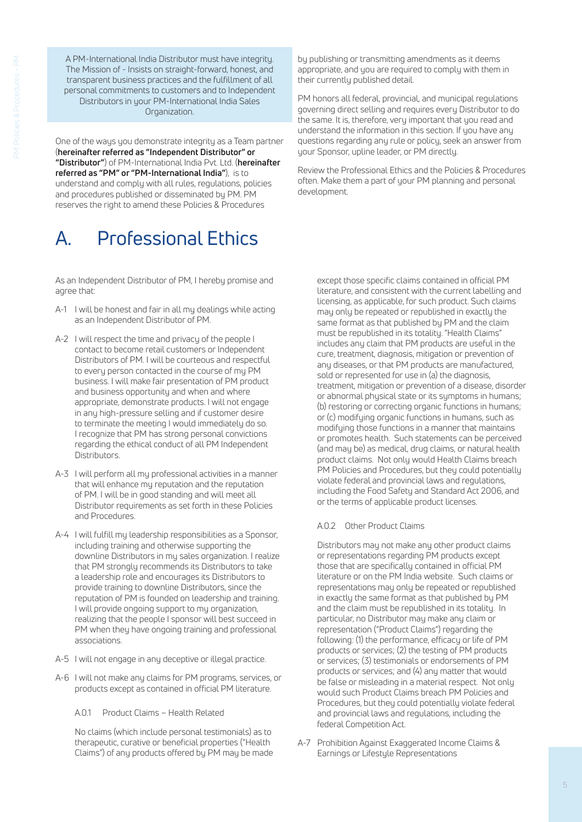A PM-International India Distributor must have integrity. The Mission of - Insists on straight-forward, honest, and transparent business practices and the fulfillment of all personal commitments to customers and to Independent Distributors in your PM-International India Sales Organization.

One of the ways you demonstrate integrity as a Team partner (**hereinafter referred as "Independent Distributor" or "Distributor"**) of PM-International India Pvt. Ltd. (**hereinafter referred as "PM" or "PM-International India"**), is to understand and comply with all rules, regulations, policies and procedures published or disseminated by PM. PM reserves the right to amend these Policies & Procedures

## A. Professional Ethics

As an Independent Distributor of PM, I hereby promise and agree that:

- A-1 I will be honest and fair in all my dealings while acting as an Independent Distributor of PM.
- A-2 I will respect the time and privacy of the people I contact to become retail customers or Independent Distributors of PM. I will be courteous and respectful to every person contacted in the course of my PM business. I will make fair presentation of PM product and business opportunity and when and where appropriate, demonstrate products. I will not engage in any high-pressure selling and if customer desire to terminate the meeting I would immediately do so. I recognize that PM has strong personal convictions regarding the ethical conduct of all PM Independent Distributors.
- A-3 I will perform all my professional activities in a manner that will enhance my reputation and the reputation of PM. I will be in good standing and will meet all Distributor requirements as set forth in these Policies and Procedures.
- A-4 I will fulfill my leadership responsibilities as a Sponsor, including training and otherwise supporting the downline Distributors in my sales organization. I realize that PM strongly recommends its Distributors to take a leadership role and encourages its Distributors to provide training to downline Distributors, since the reputation of PM is founded on leadership and training. I will provide ongoing support to my organization, realizing that the people I sponsor will best succeed in PM when they have ongoing training and professional associations.
- A-5 I will not engage in any deceptive or illegal practice.
- A-6 I will not make any claims for PM programs, services, or products except as contained in official PM literature.
	- A.0.1 Product Claims Health Related

No claims (which include personal testimonials) as to therapeutic, curative or beneficial properties ("Health Claims") of any products offered by PM may be made by publishing or transmitting amendments as it deems appropriate, and you are required to comply with them in their currently published detail.

PM honors all federal, provincial, and municipal regulations governing direct selling and requires every Distributor to do the same. It is, therefore, very important that you read and understand the information in this section. If you have any questions regarding any rule or policy, seek an answer from your Sponsor, upline leader, or PM directly.

Review the Professional Ethics and the Policies & Procedures often. Make them a part of your PM planning and personal development.

except those specific claims contained in official PM literature, and consistent with the current labelling and licensing, as applicable, for such product. Such claims may only be repeated or republished in exactly the same format as that published by PM and the claim must be republished in its totality. "Health Claims" includes any claim that PM products are useful in the cure, treatment, diagnosis, mitigation or prevention of any diseases, or that PM products are manufactured, sold or represented for use in (a) the diagnosis, treatment, mitigation or prevention of a disease, disorder or abnormal physical state or its symptoms in humans; (b) restoring or correcting organic functions in humans; or (c) modifying organic functions in humans, such as modifying those functions in a manner that maintains or promotes health. Such statements can be perceived (and may be) as medical, drug claims, or natural health product claims. Not only would Health Claims breach PM Policies and Procedures, but they could potentially violate federal and provincial laws and regulations, including the Food Safety and Standard Act 2006, and or the terms of applicable product licenses.

### A.0.2 Other Product Claims

Distributors may not make any other product claims or representations regarding PM products except those that are specifically contained in official PM literature or on the PM India website. Such claims or representations may only be repeated or republished in exactly the same format as that published by PM and the claim must be republished in its totality. In particular, no Distributor may make any claim or representation ("Product Claims") regarding the following: (1) the performance, efficacy or life of PM products or services; (2) the testing of PM products or services; (3) testimonials or endorsements of PM products or services; and (4) any matter that would be false or misleading in a material respect. Not only would such Product Claims breach PM Policies and Procedures, but they could potentially violate federal and provincial laws and regulations, including the federal Competition Act.

A-7 Prohibition Against Exaggerated Income Claims & Earnings or Lifestyle Representations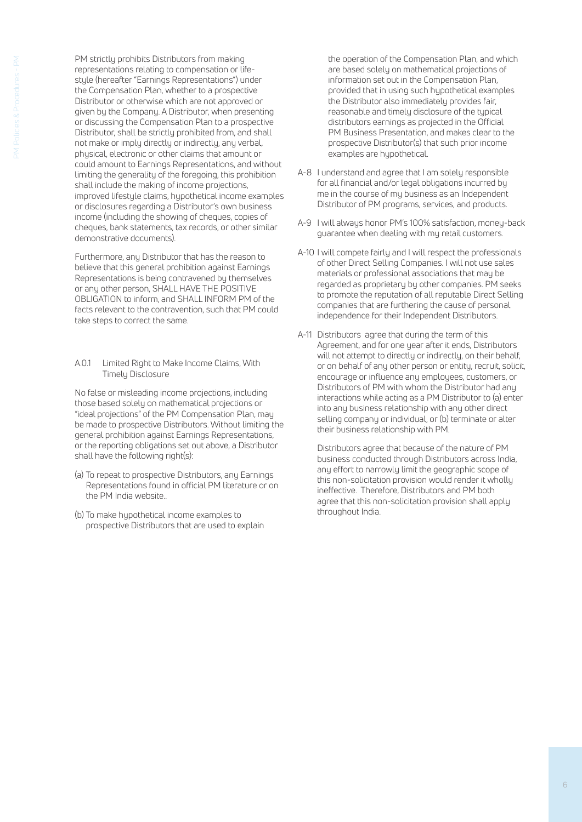PM strictly prohibits Distributors from making representations relating to compensation or lifestyle (hereafter "Earnings Representations") under the Compensation Plan, whether to a prospective Distributor or otherwise which are not approved or given by the Company. A Distributor, when presenting or discussing the Compensation Plan to a prospective Distributor, shall be strictly prohibited from, and shall not make or imply directly or indirectly, any verbal, physical, electronic or other claims that amount or could amount to Earnings Representations, and without limiting the generality of the foregoing, this prohibition shall include the making of income projections, improved lifestyle claims, hypothetical income examples or disclosures regarding a Distributor's own business income (including the showing of cheques, copies of cheques, bank statements, tax records, or other similar demonstrative documents).

Furthermore, any Distributor that has the reason to believe that this general prohibition against Earnings Representations is being contravened by themselves or any other person, SHALL HAVE THE POSITIVE OBLIGATION to inform, and SHALL INFORM PM of the facts relevant to the contravention, such that PM could take steps to correct the same.

A.0.1 Limited Right to Make Income Claims, With Timely Disclosure

No false or misleading income projections, including those based solely on mathematical projections or "ideal projections" of the PM Compensation Plan, may be made to prospective Distributors. Without limiting the general prohibition against Earnings Representations, or the reporting obligations set out above, a Distributor shall have the following right(s):

- (a) To repeat to prospective Distributors, any Earnings Representations found in official PM literature or on the PM India website..
- (b) To make hypothetical income examples to prospective Distributors that are used to explain

the operation of the Compensation Plan, and which are based solely on mathematical projections of information set out in the Compensation Plan, provided that in using such hypothetical examples the Distributor also immediately provides fair, reasonable and timely disclosure of the typical distributors earnings as projected in the Official PM Business Presentation, and makes clear to the prospective Distributor(s) that such prior income examples are hypothetical.

- A-8 I understand and agree that I am solely responsible for all financial and/or legal obligations incurred by me in the course of my business as an Independent Distributor of PM programs, services, and products.
- A-9 I will always honor PM's 100% satisfaction, money-back guarantee when dealing with my retail customers.
- A-10 I will compete fairly and I will respect the professionals of other Direct Selling Companies. I will not use sales materials or professional associations that may be regarded as proprietary by other companies. PM seeks to promote the reputation of all reputable Direct Selling companies that are furthering the cause of personal independence for their Independent Distributors.
- A-11 Distributors agree that during the term of this Agreement, and for one year after it ends, Distributors will not attempt to directly or indirectly, on their behalf, or on behalf of any other person or entity, recruit, solicit, encourage or influence any employees, customers, or Distributors of PM with whom the Distributor had any interactions while acting as a PM Distributor to (a) enter into any business relationship with any other direct selling company or individual, or (b) terminate or alter their business relationship with PM.

Distributors agree that because of the nature of PM business conducted through Distributors across India, any effort to narrowly limit the geographic scope of this non-solicitation provision would render it wholly ineffective. Therefore, Distributors and PM both agree that this non-solicitation provision shall apply throughout India.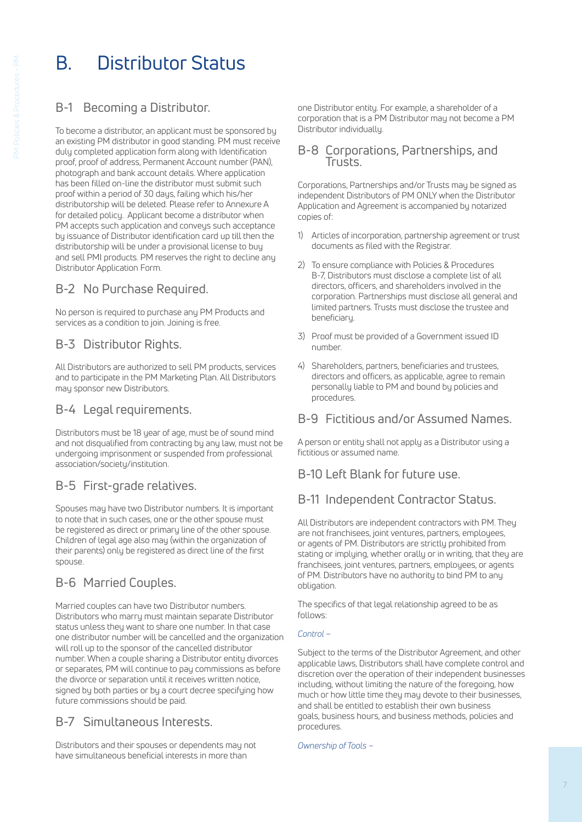# B. Distributor Status

## B-1 Becoming a Distributor.

To become a distributor, an applicant must be sponsored by an existing PM distributor in good standing. PM must receive duly completed application form along with Identification proof, proof of address, Permanent Account number (PAN), photograph and bank account details. Where application has been filled on-line the distributor must submit such proof within a period of 30 days, failing which his/her distributorship will be deleted. Please refer to Annexure A for detailed policy. Applicant become a distributor when PM accepts such application and conveys such acceptance by issuance of Distributor identification card up till then the distributorship will be under a provisional license to buy and sell PMI products. PM reserves the right to decline any Distributor Application Form.

## B-2 No Purchase Required.

No person is required to purchase any PM Products and services as a condition to join. Joining is free.

## B-3 Distributor Rights.

All Distributors are authorized to sell PM products, services and to participate in the PM Marketing Plan. All Distributors may sponsor new Distributors.

### B-4 Legal requirements.

Distributors must be 18 year of age, must be of sound mind and not disqualified from contracting by any law, must not be undergoing imprisonment or suspended from professional association/society/institution.

## B-5 First-grade relatives.

Spouses may have two Distributor numbers. It is important to note that in such cases, one or the other spouse must be registered as direct or primary line of the other spouse. Children of legal age also may (within the organization of their parents) only be registered as direct line of the first spouse.

## B-6 Married Couples.

Married couples can have two Distributor numbers. Distributors who marry must maintain separate Distributor status unless they want to share one number. In that case one distributor number will be cancelled and the organization will roll up to the sponsor of the cancelled distributor number. When a couple sharing a Distributor entity divorces or separates, PM will continue to pay commissions as before the divorce or separation until it receives written notice, signed by both parties or by a court decree specifying how future commissions should be paid.

## B-7 Simultaneous Interests.

Distributors and their spouses or dependents may not have simultaneous beneficial interests in more than

one Distributor entity. For example, a shareholder of a corporation that is a PM Distributor may not become a PM Distributor individually.

### B-8 Corporations, Partnerships, and Trusts.

Corporations, Partnerships and/or Trusts may be signed as independent Distributors of PM ONLY when the Distributor Application and Agreement is accompanied by notarized copies of:

- 1) Articles of incorporation, partnership agreement or trust documents as filed with the Registrar.
- 2) To ensure compliance with Policies & Procedures B-7, Distributors must disclose a complete list of all directors, officers, and shareholders involved in the corporation. Partnerships must disclose all general and limited partners. Trusts must disclose the trustee and beneficiary.
- 3) Proof must be provided of a Government issued ID number.
- 4) Shareholders, partners, beneficiaries and trustees, directors and officers, as applicable, agree to remain personally liable to PM and bound by policies and procedures.

### B-9 Fictitious and/or Assumed Names.

A person or entity shall not apply as a Distributor using a fictitious or assumed name.

### B-10 Left Blank for future use.

### B-11 Independent Contractor Status.

All Distributors are independent contractors with PM. They are not franchisees, joint ventures, partners, employees, or agents of PM. Distributors are strictly prohibited from stating or implying, whether orally or in writing, that they are franchisees, joint ventures, partners, employees, or agents of PM. Distributors have no authority to bind PM to any obligation.

The specifics of that legal relationship agreed to be as follows:

### *Control –*

Subject to the terms of the Distributor Agreement, and other applicable laws, Distributors shall have complete control and discretion over the operation of their independent businesses including, without limiting the nature of the foregoing, how much or how little time they may devote to their businesses, and shall be entitled to establish their own business goals, business hours, and business methods, policies and procedures.

*Ownership of Tools –*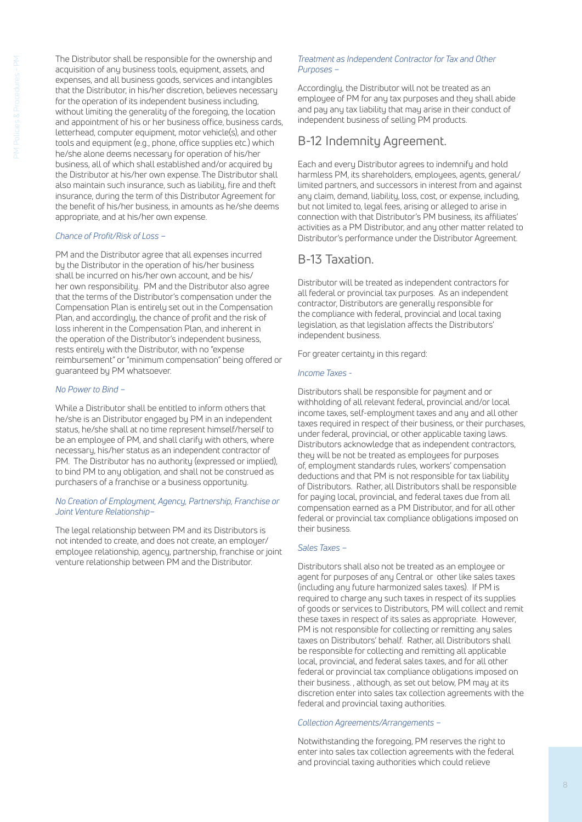The Distributor shall be responsible for the ownership and acquisition of any business tools, equipment, assets, and expenses, and all business goods, services and intangibles that the Distributor, in his/her discretion, believes necessary for the operation of its independent business including, without limiting the generality of the foregoing, the location and appointment of his or her business office, business cards, letterhead, computer equipment, motor vehicle(s), and other tools and equipment (e.g., phone, office supplies etc.) which he/she alone deems necessary for operation of his/her business, all of which shall established and/or acquired by the Distributor at his/her own expense. The Distributor shall also maintain such insurance, such as liability, fire and theft insurance, during the term of this Distributor Agreement for the benefit of his/her business, in amounts as he/she deems appropriate, and at his/her own expense.

#### *Chance of Profit/Risk of Loss –*

PM and the Distributor agree that all expenses incurred by the Distributor in the operation of his/her business shall be incurred on his/her own account, and be his/ her own responsibility. PM and the Distributor also agree that the terms of the Distributor's compensation under the Compensation Plan is entirely set out in the Compensation Plan, and accordingly, the chance of profit and the risk of loss inherent in the Compensation Plan, and inherent in the operation of the Distributor's independent business, rests entirely with the Distributor, with no "expense reimbursement" or "minimum compensation" being offered or guaranteed by PM whatsoever.

#### *No Power to Bind –*

While a Distributor shall be entitled to inform others that he/she is an Distributor engaged by PM in an independent status, he/she shall at no time represent himself/herself to be an employee of PM, and shall clarify with others, where necessary, his/her status as an independent contractor of PM. The Distributor has no authority (expressed or implied), to bind PM to any obligation, and shall not be construed as purchasers of a franchise or a business opportunity.

#### *No Creation of Employment, Agency, Partnership, Franchise or Joint Venture Relationship–*

The legal relationship between PM and its Distributors is not intended to create, and does not create, an employer/ employee relationship, agency, partnership, franchise or joint venture relationship between PM and the Distributor.

#### *Treatment as Independent Contractor for Tax and Other Purposes –*

Accordingly, the Distributor will not be treated as an employee of PM for any tax purposes and they shall abide and pay any tax liability that may arise in their conduct of independent business of selling PM products.

### B-12 Indemnity Agreement.

Each and every Distributor agrees to indemnify and hold harmless PM, its shareholders, employees, agents, general/ limited partners, and successors in interest from and against any claim, demand, liability, loss, cost, or expense, including, but not limited to, legal fees, arising or alleged to arise in connection with that Distributor's PM business, its affiliates' activities as a PM Distributor, and any other matter related to Distributor's performance under the Distributor Agreement.

### B-13 Taxation.

Distributor will be treated as independent contractors for all federal or provincial tax purposes. As an independent contractor, Distributors are generally responsible for the compliance with federal, provincial and local taxing legislation, as that legislation affects the Distributors' independent business.

For greater certainty in this regard:

#### *Income Taxes -*

Distributors shall be responsible for payment and or withholding of all relevant federal, provincial and/or local income taxes, self-employment taxes and any and all other taxes required in respect of their business, or their purchases, under federal, provincial, or other applicable taxing laws. Distributors acknowledge that as independent contractors, they will be not be treated as employees for purposes of, employment standards rules, workers' compensation deductions and that PM is not responsible for tax liability of Distributors. Rather, all Distributors shall be responsible for paying local, provincial, and federal taxes due from all compensation earned as a PM Distributor, and for all other federal or provincial tax compliance obligations imposed on their business.

#### *Sales Taxes –*

Distributors shall also not be treated as an employee or agent for purposes of any Central or other like sales taxes (including any future harmonized sales taxes). If PM is required to charge any such taxes in respect of its supplies of goods or services to Distributors, PM will collect and remit these taxes in respect of its sales as appropriate. However, PM is not responsible for collecting or remitting any sales taxes on Distributors' behalf. Rather, all Distributors shall be responsible for collecting and remitting all applicable local, provincial, and federal sales taxes, and for all other federal or provincial tax compliance obligations imposed on their business. , although, as set out below, PM may at its discretion enter into sales tax collection agreements with the federal and provincial taxing authorities.

#### *Collection Agreements/Arrangements –*

Notwithstanding the foregoing, PM reserves the right to enter into sales tax collection agreements with the federal and provincial taxing authorities which could relieve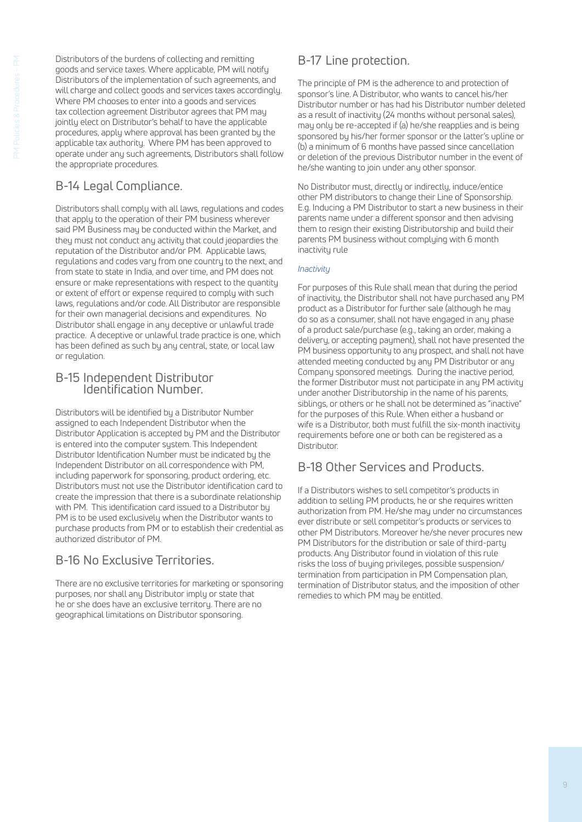Distributors of the burdens of collecting and remitting goods and service taxes. Where applicable, PM will notify Distributors of the implementation of such agreements, and will charge and collect goods and services taxes accordingly. Where PM chooses to enter into a goods and services tax collection agreement Distributor agrees that PM may jointly elect on Distributor's behalf to have the applicable procedures, apply where approval has been granted by the applicable tax authority. Where PM has been approved to operate under any such agreements, Distributors shall follow the appropriate procedures.

## B-14 Legal Compliance.

Distributors shall comply with all laws, regulations and codes that apply to the operation of their PM business wherever said PM Business may be conducted within the Market, and they must not conduct any activity that could jeopardies the reputation of the Distributor and/or PM. Applicable laws, regulations and codes vary from one country to the next, and from state to state in India, and over time, and PM does not ensure or make representations with respect to the quantity or extent of effort or expense required to comply with such laws, regulations and/or code. All Distributor are responsible for their own managerial decisions and expenditures. No Distributor shall engage in any deceptive or unlawful trade practice. A deceptive or unlawful trade practice is one, which has been defined as such by any central, state, or local law or regulation.

### B-15 Independent Distributor Identification Number.

Distributors will be identified by a Distributor Number assigned to each Independent Distributor when the Distributor Application is accepted by PM and the Distributor is entered into the computer system. This Independent Distributor Identification Number must be indicated by the Independent Distributor on all correspondence with PM, including paperwork for sponsoring, product ordering, etc. Distributors must not use the Distributor identification card to create the impression that there is a subordinate relationship with PM. This identification card issued to a Distributor by PM is to be used exclusively when the Distributor wants to purchase products from PM or to establish their credential as authorized distributor of PM.

## B-16 No Exclusive Territories.

There are no exclusive territories for marketing or sponsoring purposes, nor shall any Distributor imply or state that he or she does have an exclusive territory. There are no geographical limitations on Distributor sponsoring.

## B-17 Line protection.

The principle of PM is the adherence to and protection of sponsor's line. A Distributor, who wants to cancel his/her Distributor number or has had his Distributor number deleted as a result of inactivity (24 months without personal sales), may only be re-accepted if (a) he/she reapplies and is being sponsored by his/her former sponsor or the latter's upline or (b) a minimum of 6 months have passed since cancellation or deletion of the previous Distributor number in the event of he/she wanting to join under any other sponsor.

No Distributor must, directly or indirectly, induce/entice other PM distributors to change their Line of Sponsorship. E.g. Inducing a PM Distributor to start a new business in their parents name under a different sponsor and then advising them to resign their existing Distributorship and build their parents PM business without complying with 6 month inactivity rule

### *Inactivity*

For purposes of this Rule shall mean that during the period of inactivity, the Distributor shall not have purchased any PM product as a Distributor for further sale (although he may do so as a consumer, shall not have engaged in any phase of a product sale/purchase (e.g., taking an order, making a delivery, or accepting payment), shall not have presented the PM business opportunity to any prospect, and shall not have attended meeting conducted by any PM Distributor or any Company sponsored meetings. During the inactive period, the former Distributor must not participate in any PM activity under another Distributorship in the name of his parents, siblings, or others or he shall not be determined as "inactive" for the purposes of this Rule. When either a husband or wife is a Distributor, both must fulfill the six-month inactivity requirements before one or both can be registered as a Distributor.

## B-18 Other Services and Products.

If a Distributors wishes to sell competitor's products in addition to selling PM products, he or she requires written authorization from PM. He/she may under no circumstances ever distribute or sell competitor's products or services to other PM Distributors. Moreover he/she never procures new PM Distributors for the distribution or sale of third-party products. Any Distributor found in violation of this rule risks the loss of buying privileges, possible suspension/ termination from participation in PM Compensation plan, termination of Distributor status, and the imposition of other remedies to which PM may be entitled.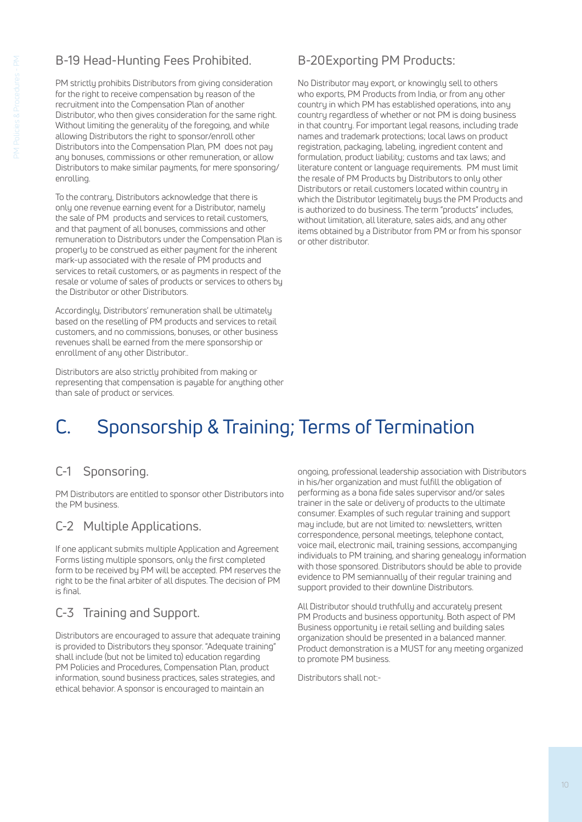## B-19 Head-Hunting Fees Prohibited.

PM strictly prohibits Distributors from giving consideration for the right to receive compensation by reason of the recruitment into the Compensation Plan of another Distributor, who then gives consideration for the same right. Without limiting the generality of the foregoing, and while allowing Distributors the right to sponsor/enroll other Distributors into the Compensation Plan, PM does not pay any bonuses, commissions or other remuneration, or allow Distributors to make similar payments, for mere sponsoring/ enrolling.

To the contrary, Distributors acknowledge that there is only one revenue earning event for a Distributor, namely the sale of PM products and services to retail customers, and that payment of all bonuses, commissions and other remuneration to Distributors under the Compensation Plan is properly to be construed as either payment for the inherent mark-up associated with the resale of PM products and services to retail customers, or as payments in respect of the resale or volume of sales of products or services to others by the Distributor or other Distributors.

Accordingly, Distributors' remuneration shall be ultimately based on the reselling of PM products and services to retail customers, and no commissions, bonuses, or other business revenues shall be earned from the mere sponsorship or enrollment of any other Distributor..

Distributors are also strictly prohibited from making or representing that compensation is payable for anything other than sale of product or services.

## B-20 Exporting PM Products:

No Distributor may export, or knowingly sell to others who exports, PM Products from India, or from any other country in which PM has established operations, into any country regardless of whether or not PM is doing business in that country. For important legal reasons, including trade names and trademark protections; local laws on product registration, packaging, labeling, ingredient content and formulation, product liability; customs and tax laws; and literature content or language requirements. PM must limit the resale of PM Products by Distributors to only other Distributors or retail customers located within country in which the Distributor legitimately buys the PM Products and is authorized to do business. The term "products" includes, without limitation, all literature, sales aids, and any other items obtained by a Distributor from PM or from his sponsor or other distributor.

# C. Sponsorship & Training; Terms of Termination

## C-1 Sponsoring.

PM Distributors are entitled to sponsor other Distributors into the PM business.

## C-2 Multiple Applications.

If one applicant submits multiple Application and Agreement Forms listing multiple sponsors, only the first completed form to be received by PM will be accepted. PM reserves the right to be the final arbiter of all disputes. The decision of PM is final.

## C-3 Training and Support.

Distributors are encouraged to assure that adequate training is provided to Distributors they sponsor. "Adequate training" shall include (but not be limited to) education regarding PM Policies and Procedures, Compensation Plan, product information, sound business practices, sales strategies, and ethical behavior. A sponsor is encouraged to maintain an

ongoing, professional leadership association with Distributors in his/her organization and must fulfill the obligation of performing as a bona fide sales supervisor and/or sales trainer in the sale or delivery of products to the ultimate consumer. Examples of such regular training and support may include, but are not limited to: newsletters, written correspondence, personal meetings, telephone contact, voice mail, electronic mail, training sessions, accompanying individuals to PM training, and sharing genealogy information with those sponsored. Distributors should be able to provide evidence to PM semiannually of their regular training and support provided to their downline Distributors.

All Distributor should truthfully and accurately present PM Products and business opportunity. Both aspect of PM Business opportunity i.e retail selling and building sales organization should be presented in a balanced manner. Product demonstration is a MUST for any meeting organized to promote PM business.

Distributors shall not:-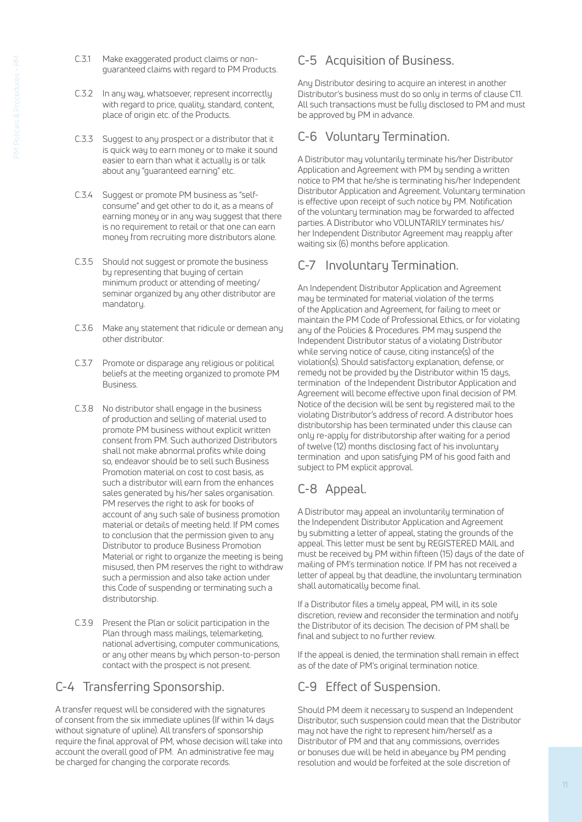- C.3.1 Make exaggerated product claims or nonguaranteed claims with regard to PM Products.
- C.3.2 In any way, whatsoever, represent incorrectly with regard to price, quality, standard, content, place of origin etc. of the Products.
- C.3.3 Suggest to any prospect or a distributor that it is quick way to earn money or to make it sound easier to earn than what it actually is or talk about any "guaranteed earning" etc.
- C.3.4 Suggest or promote PM business as "selfconsume" and get other to do it, as a means of earning money or in any way suggest that there is no requirement to retail or that one can earn money from recruiting more distributors alone.
- C.3.5 Should not suggest or promote the business by representing that buying of certain minimum product or attending of meeting/ seminar organized by any other distributor are mandatory.
- C.3.6 Make any statement that ridicule or demean any other distributor.
- C.3.7 Promote or disparage any religious or political beliefs at the meeting organized to promote PM Business.
- C.3.8 No distributor shall engage in the business of production and selling of material used to promote PM business without explicit written consent from PM. Such authorized Distributors shall not make abnormal profits while doing so, endeavor should be to sell such Business Promotion material on cost to cost basis, as such a distributor will earn from the enhances sales generated by his/her sales organisation. PM reserves the right to ask for books of account of any such sale of business promotion material or details of meeting held. If PM comes to conclusion that the permission given to any Distributor to produce Business Promotion Material or right to organize the meeting is being misused, then PM reserves the right to withdraw such a permission and also take action under this Code of suspending or terminating such a distributorship.
- C.3.9 Present the Plan or solicit participation in the Plan through mass mailings, telemarketing, national advertising, computer communications, or any other means by which person-to-person contact with the prospect is not present.

## C-4 Transferring Sponsorship.

A transfer request will be considered with the signatures of consent from the six immediate uplines (If within 14 days without signature of upline). All transfers of sponsorship require the final approval of PM, whose decision will take into account the overall good of PM. An administrative fee may be charged for changing the corporate records.

## C-5 Acquisition of Business.

Any Distributor desiring to acquire an interest in another Distributor's business must do so only in terms of clause C11. All such transactions must be fully disclosed to PM and must be approved by PM in advance.

### C-6 Voluntary Termination.

A Distributor may voluntarily terminate his/her Distributor Application and Agreement with PM by sending a written notice to PM that he/she is terminating his/her Independent Distributor Application and Agreement. Voluntary termination is effective upon receipt of such notice by PM. Notification of the voluntary termination may be forwarded to affected parties. A Distributor who VOLUNTARILY terminates his/ her Independent Distributor Agreement may reapply after waiting six (6) months before application.

## C-7 Involuntary Termination.

An Independent Distributor Application and Agreement may be terminated for material violation of the terms of the Application and Agreement, for failing to meet or maintain the PM Code of Professional Ethics, or for violating any of the Policies & Procedures. PM may suspend the Independent Distributor status of a violating Distributor while serving notice of cause, citing instance(s) of the violation(s). Should satisfactory explanation, defense, or remedy not be provided by the Distributor within 15 days, termination of the Independent Distributor Application and Agreement will become effective upon final decision of PM. Notice of the decision will be sent by registered mail to the violating Distributor's address of record. A distributor hoes distributorship has been terminated under this clause can only re-apply for distributorship after waiting for a period of twelve (12) months disclosing fact of his involuntary termination and upon satisfying PM of his good faith and subject to PM explicit approval.

## C-8 Appeal.

A Distributor may appeal an involuntarily termination of the Independent Distributor Application and Agreement by submitting a letter of appeal, stating the grounds of the appeal. This letter must be sent by REGISTERED MAIL and must be received by PM within fifteen (15) days of the date of mailing of PM's termination notice. If PM has not received a letter of appeal by that deadline, the involuntary termination shall automatically become final.

If a Distributor files a timely appeal, PM will, in its sole discretion, review and reconsider the termination and notify the Distributor of its decision. The decision of PM shall be final and subject to no further review.

If the appeal is denied, the termination shall remain in effect as of the date of PM's original termination notice.

## C-9 Effect of Suspension.

Should PM deem it necessary to suspend an Independent Distributor, such suspension could mean that the Distributor may not have the right to represent him/herself as a Distributor of PM and that any commissions, overrides or bonuses due will be held in abeyance by PM pending resolution and would be forfeited at the sole discretion of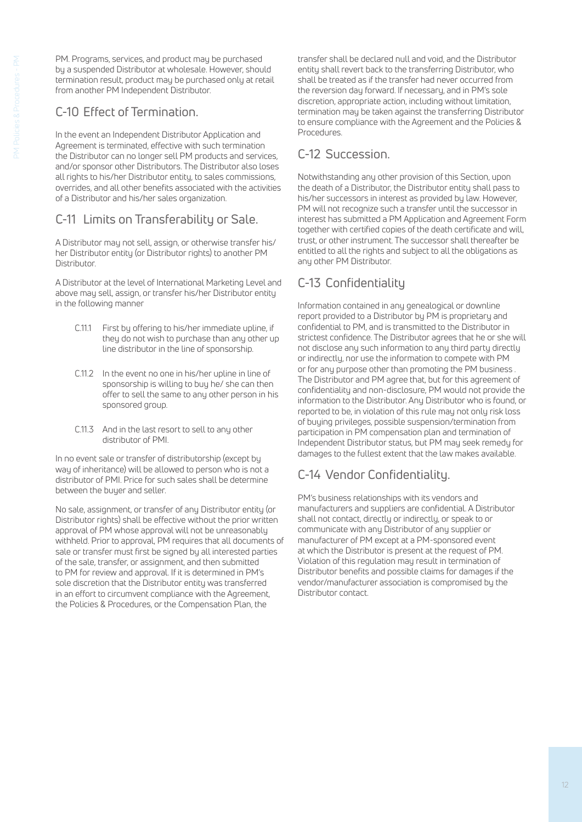PM. Programs, services, and product may be purchased by a suspended Distributor at wholesale. However, should termination result, product may be purchased only at retail from another PM Independent Distributor.

## C-10 Effect of Termination.

In the event an Independent Distributor Application and Agreement is terminated, effective with such termination the Distributor can no longer sell PM products and services, and/or sponsor other Distributors. The Distributor also loses all rights to his/her Distributor entity, to sales commissions, overrides, and all other benefits associated with the activities of a Distributor and his/her sales organization.

## C-11 Limits on Transferability or Sale.

A Distributor may not sell, assign, or otherwise transfer his/ her Distributor entity (or Distributor rights) to another PM **Distributor** 

A Distributor at the level of International Marketing Level and above may sell, assign, or transfer his/her Distributor entity in the following manner

- C.11.1 First by offering to his/her immediate upline, if they do not wish to purchase than any other up line distributor in the line of sponsorship.
- C.11.2 In the event no one in his/her upline in line of sponsorship is willing to buy he/ she can then offer to sell the same to any other person in his sponsored group.
- C.11.3 And in the last resort to sell to any other distributor of PMI.

In no event sale or transfer of distributorship (except by way of inheritance) will be allowed to person who is not a distributor of PMI. Price for such sales shall be determine between the buyer and seller.

No sale, assignment, or transfer of any Distributor entity (or Distributor rights) shall be effective without the prior written approval of PM whose approval will not be unreasonably withheld. Prior to approval, PM requires that all documents of sale or transfer must first be signed by all interested parties of the sale, transfer, or assignment, and then submitted to PM for review and approval. If it is determined in PM's sole discretion that the Distributor entity was transferred in an effort to circumvent compliance with the Agreement, the Policies & Procedures, or the Compensation Plan, the

transfer shall be declared null and void, and the Distributor entity shall revert back to the transferring Distributor, who shall be treated as if the transfer had never occurred from the reversion day forward. If necessary, and in PM's sole discretion, appropriate action, including without limitation, termination may be taken against the transferring Distributor to ensure compliance with the Agreement and the Policies & Procedures.

## C-12 Succession.

Notwithstanding any other provision of this Section, upon the death of a Distributor, the Distributor entity shall pass to his/her successors in interest as provided by law. However, PM will not recognize such a transfer until the successor in interest has submitted a PM Application and Agreement Form together with certified copies of the death certificate and will, trust, or other instrument. The successor shall thereafter be entitled to all the rights and subject to all the obligations as any other PM Distributor.

## C-13 Confidentiality

Information contained in any genealogical or downline report provided to a Distributor by PM is proprietary and confidential to PM, and is transmitted to the Distributor in strictest confidence. The Distributor agrees that he or she will not disclose any such information to any third party directly or indirectly, nor use the information to compete with PM or for any purpose other than promoting the PM business . The Distributor and PM agree that, but for this agreement of confidentiality and non-disclosure, PM would not provide the information to the Distributor. Any Distributor who is found, or reported to be, in violation of this rule may not only risk loss of buying privileges, possible suspension/termination from participation in PM compensation plan and termination of Independent Distributor status, but PM may seek remedy for damages to the fullest extent that the law makes available.

## C-14 Vendor Confidentiality.

PM's business relationships with its vendors and manufacturers and suppliers are confidential. A Distributor shall not contact, directly or indirectly, or speak to or communicate with any Distributor of any supplier or manufacturer of PM except at a PM-sponsored event at which the Distributor is present at the request of PM. Violation of this regulation may result in termination of Distributor benefits and possible claims for damages if the vendor/manufacturer association is compromised by the Distributor contact.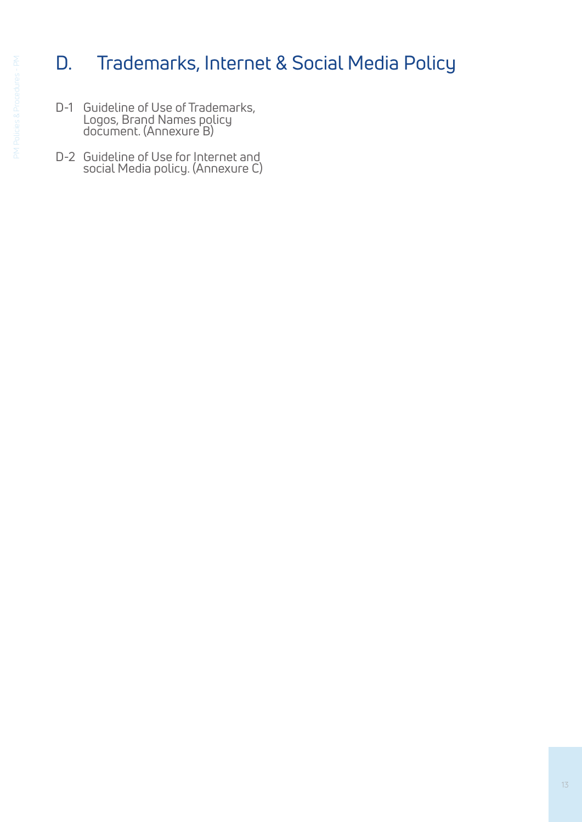# D. Trademarks, Internet & Social Media Policy

- D-1 Guideline of Use of Trademarks, Logos, Brand Names policy document. (Annexure B)
- D-2 Guideline of Use for Internet and social Media policy. (Annexure C)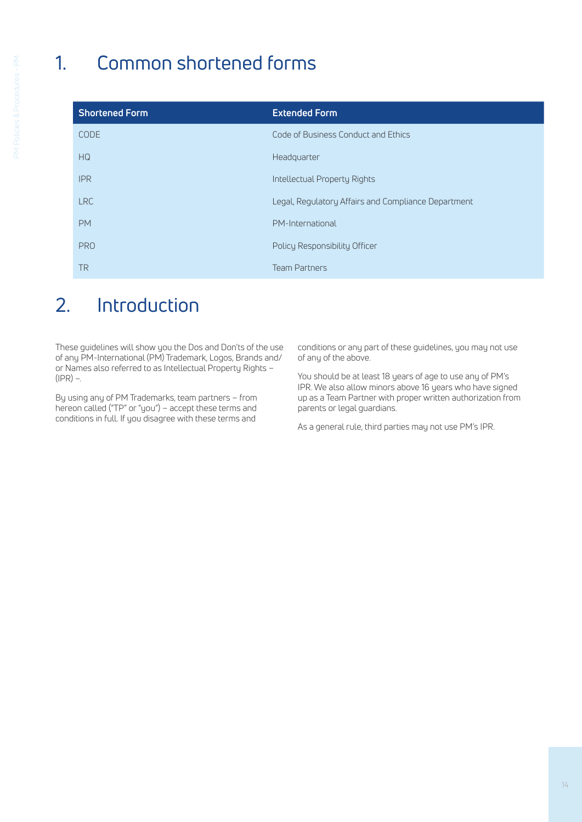# 1. Common shortened forms

| <b>Shortened Form</b> | <b>Extended Form</b>                                |
|-----------------------|-----------------------------------------------------|
| <b>CODE</b>           | Code of Business Conduct and Ethics                 |
| HG                    | Headquarter                                         |
| <b>IPR</b>            | Intellectual Property Rights                        |
| <b>LRC</b>            | Legal, Regulatory Affairs and Compliance Department |
| <b>PM</b>             | PM-International                                    |
| <b>PRO</b>            | Policy Responsibility Officer                       |
| TR                    | <b>Team Partners</b>                                |

## 2. Introduction

These guidelines will show you the Dos and Don'ts of the use of any PM-International (PM) Trademark, Logos, Brands and/ or Names also referred to as Intellectual Property Rights –  $(IPR)$  –.

By using any of PM Trademarks, team partners – from hereon called ("TP" or "you") – accept these terms and conditions in full. If you disagree with these terms and conditions or any part of these guidelines, you may not use of any of the above.

You should be at least 18 years of age to use any of PM's IPR. We also allow minors above 16 years who have signed up as a Team Partner with proper written authorization from parents or legal guardians.

As a general rule, third parties may not use PM's IPR.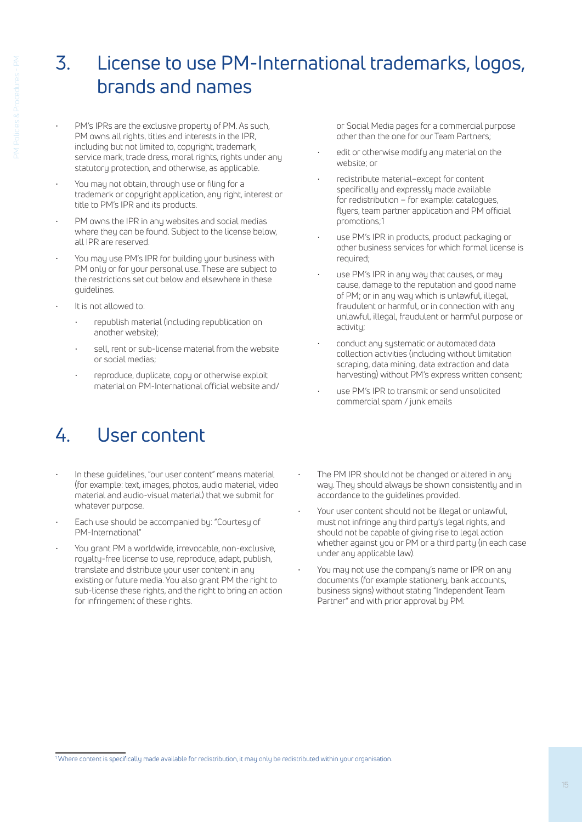## 3. License to use PM-International trademarks, logos, brands and names

- PM's IPRs are the exclusive property of PM. As such, PM owns all rights, titles and interests in the IPR, including but not limited to, copyright, trademark, service mark, trade dress, moral rights, rights under any statutory protection, and otherwise, as applicable.
- You may not obtain, through use or filing for a trademark or copyright application, any right, interest or title to PM's IPR and its products.
- PM owns the IPR in any websites and social medias where they can be found. Subject to the license below, all IPR are reserved.
- You may use PM's IPR for building your business with PM only or for your personal use. These are subject to the restrictions set out below and elsewhere in these guidelines.
- It is not allowed to:
	- republish material (including republication on another website);
	- sell, rent or sub-license material from the website or social medias;
	- reproduce, duplicate, copy or otherwise exploit material on PM-International official website and/

## 4. User content

- In these quidelines, "our user content" means material (for example: text, images, photos, audio material, video material and audio-visual material) that we submit for whatever purpose.
- Each use should be accompanied by: "Courtesy of PM-International"
- You grant PM a worldwide, irrevocable, non-exclusive, royalty-free license to use, reproduce, adapt, publish, translate and distribute your user content in any existing or future media. You also grant PM the right to sub-license these rights, and the right to bring an action for infringement of these rights.

or Social Media pages for a commercial purpose other than the one for our Team Partners;

- edit or otherwise modify any material on the website; or
- redistribute material–except for content specifically and expressly made available for redistribution – for example: catalogues, flyers, team partner application and PM official promotions;1
- use PM's IPR in products, product packaging or other business services for which formal license is required;
- use PM's IPR in any way that causes, or may cause, damage to the reputation and good name of PM; or in any way which is unlawful, illegal, fraudulent or harmful, or in connection with any unlawful, illegal, fraudulent or harmful purpose or activity;
- conduct any systematic or automated data collection activities (including without limitation scraping, data mining, data extraction and data harvesting) without PM's express written consent;
- use PM's IPR to transmit or send unsolicited commercial spam / junk emails
- The PM IPR should not be changed or altered in any way. They should always be shown consistently and in accordance to the guidelines provided.
- Your user content should not be illegal or unlawful, must not infringe any third party's legal rights, and should not be capable of giving rise to legal action whether against you or PM or a third party (in each case under any applicable law).
- You may not use the company's name or IPR on any documents (for example stationery, bank accounts, business signs) without stating "Independent Team Partner" and with prior approval by PM.

<sup>1</sup> Where content is specifically made available for redistribution, it may only be redistributed within your organisation.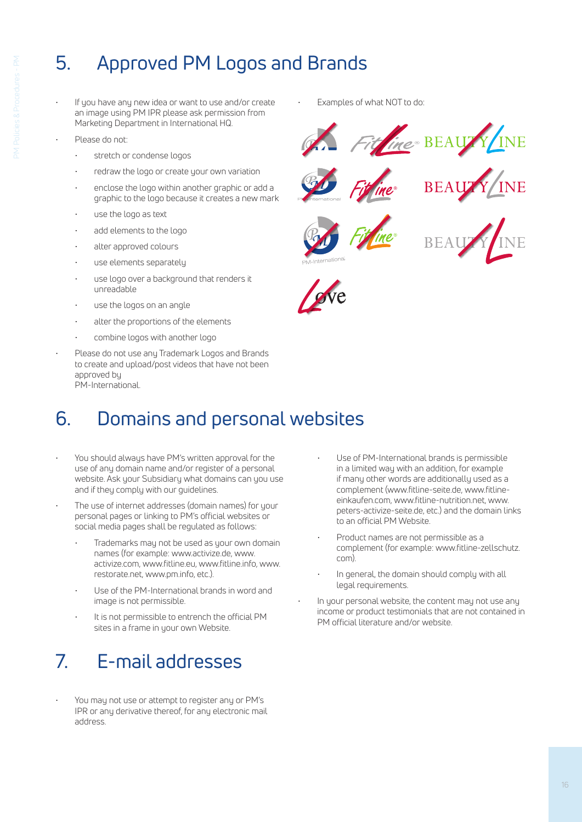# 5. Approved PM Logos and Brands

- If you have any new idea or want to use and/or create an image using PM IPR please ask permission from Marketing Department in International HQ.
- Please do not:
	- stretch or condense logos
	- redraw the logo or create your own variation
	- enclose the logo within another graphic or add a graphic to the logo because it creates a new mark
	- use the logo as text
	- add elements to the logo
	- alter approved colours
	- use elements separately
	- use logo over a background that renders it unreadable
	- use the logos on an angle
	- alter the proportions of the elements
	- combine logos with another logo
- Please do not use any Trademark Logos and Brands to create and upload/post videos that have not been approved by PM-International.

## 6. Domains and personal websites

- You should always have PM's written approval for the use of any domain name and/or register of a personal website. Ask your Subsidiary what domains can you use and if they comply with our guidelines.
- The use of internet addresses (domain names) for your personal pages or linking to PM's official websites or social media pages shall be regulated as follows:
	- Trademarks may not be used as your own domain names (for example: www.activize.de, www. activize.com, www.fitline.eu, www.fitline.info, www. restorate.net, www.pm.info, etc.).
	- Use of the PM-International brands in word and image is not permissible.
	- It is not permissible to entrench the official PM sites in a frame in your own Website.

# 7. E-mail addresses

• You may not use or attempt to register any or PM's IPR or any derivative thereof, for any electronic mail address.

• Examples of what NOT to do:











- Use of PM-International brands is permissible in a limited way with an addition, for example if many other words are additionally used as a complement (www.fitline-seite.de, www.fitlineeinkaufen.com, www.fitline-nutrition.net, www. peters-activize-seite.de, etc.) and the domain links to an official PM Website.
- Product names are not permissible as a complement (for example: www.fitline-zellschutz. com).
- In general, the domain should comply with all legal requirements.
- In your personal website, the content may not use any income or product testimonials that are not contained in PM official literature and/or website.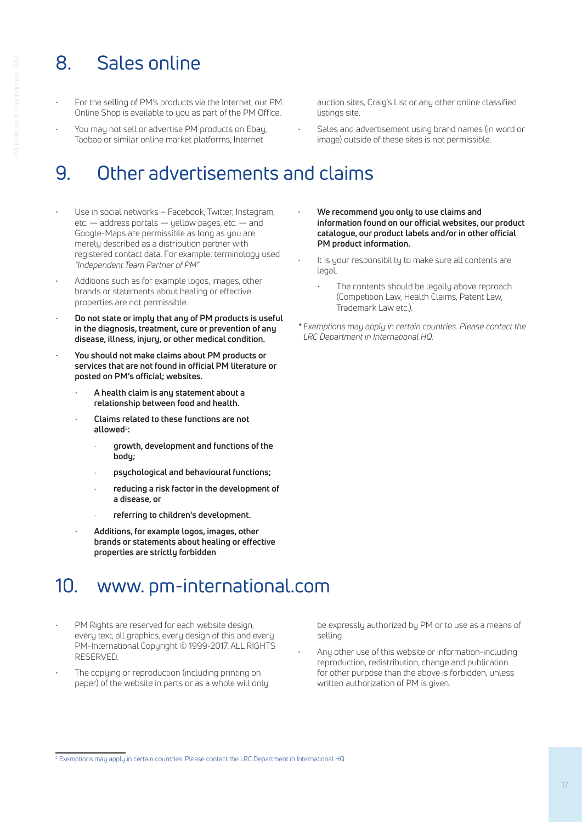# 8. Sales online

- For the selling of PM's products via the Internet, our PM Online Shop is available to you as part of the PM Office.
- You may not sell or advertise PM products on Ebay, Taobao or similar online market platforms, Internet

## 9. Other advertisements and claims

- Use in social networks Facebook, Twitter, Instagram, etc. — address portals — yellow pages, etc. — and Google-Maps are permissible as long as you are merely described as a distribution partner with registered contact data. For example: terminology used *"Independent Team Partner of PM"*
- Additions such as for example logos, images, other brands or statements about healing or effective properties are not permissible.
- **Do not state or imply that any of PM products is useful in the diagnosis, treatment, cure or prevention of any disease, illness, injury, or other medical condition.**
- **You should not make claims about PM products or services that are not found in official PM literature or posted on PM's official; websites.**
	- **A health claim is any statement about a relationship between food and health.**
	- **Claims related to these functions are not allowed**<sup>2</sup> **:**
		- · **growth, development and functions of the body;**
		- · **psychological and behavioural functions;**
		- · **reducing a risk factor in the development of a disease, or**
		- · **referring to children's development.**
	- **Additions, for example logos, images, other brands or statements about healing or effective properties are strictly forbidden**.

## 10. www. pm-international.com

- PM Rights are reserved for each website design, every text, all graphics, every design of this and every PM-International Copyright © 1999-2017. ALL RIGHTS RESERVED.
- The copying or reproduction (including printing on paper) of the website in parts or as a whole will only

auction sites, Craig's List or any other online classified listings site.

- Sales and advertisement using brand names (in word or image) outside of these sites is not permissible.
- **We recommend you only to use claims and information found on our official websites, our product catalogue, our product labels and/or in other official PM product information.**
- It is your responsibility to make sure all contents are legal.
	- The contents should be legally above reproach (Competition Law, Health Claims, Patent Law, Trademark Law etc.).
- *\* Exemptions may apply in certain countries. Please contact the LRC Department in International HQ.*

- be expressly authorized by PM or to use as a means of selling.
- Any other use of this website or information-including reproduction, redistribution, change and publication for other purpose than the above is forbidden, unless written authorization of PM is given.

<sup>2</sup> Exemptions may apply in certain countries. Please contact the LRC Department in International HQ.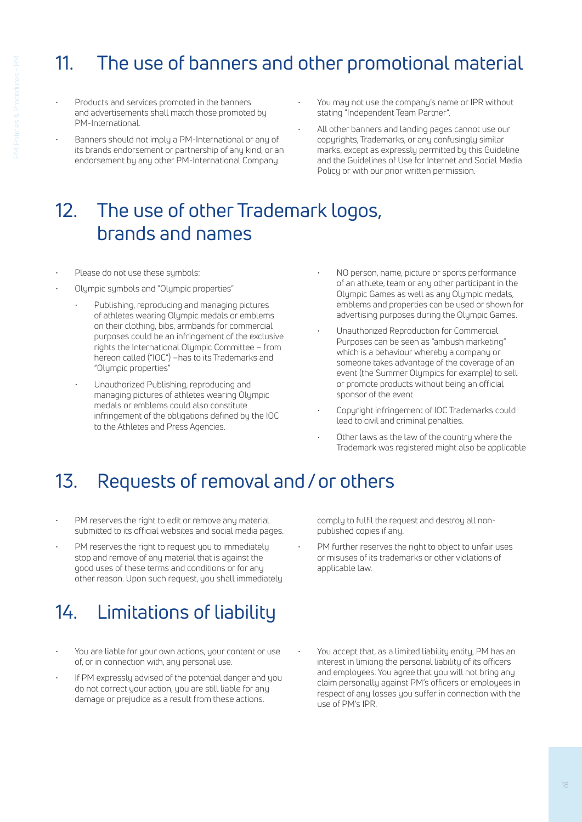# 11. The use of banners and other promotional material

- Products and services promoted in the banners and advertisements shall match those promoted by PM-International.
- Banners should not imply a PM-International or any of its brands endorsement or partnership of any kind, or an endorsement by any other PM-International Company.
- You may not use the company's name or IPR without stating "Independent Team Partner".
	- All other banners and landing pages cannot use our copyrights, Trademarks, or any confusingly similar marks, except as expressly permitted by this Guideline and the Guidelines of Use for Internet and Social Media Policy or with our prior written permission.

## 12. The use of other Trademark logos, brands and names

- Please do not use these symbols:
- Olympic symbols and "Olympic properties"
	- Publishing, reproducing and managing pictures of athletes wearing Olympic medals or emblems on their clothing, bibs, armbands for commercial purposes could be an infringement of the exclusive rights the International Olympic Committee – from hereon called ("IOC") –has to its Trademarks and "Olympic properties"
	- Unauthorized Publishing, reproducing and managing pictures of athletes wearing Olympic medals or emblems could also constitute infringement of the obligations defined by the IOC to the Athletes and Press Agencies.
- NO person, name, picture or sports performance of an athlete, team or any other participant in the Olympic Games as well as any Olympic medals, emblems and properties can be used or shown for advertising purposes during the Olympic Games.
- Unauthorized Reproduction for Commercial Purposes can be seen as "ambush marketing" which is a behaviour whereby a company or someone takes advantage of the coverage of an event (the Summer Olympics for example) to sell or promote products without being an official sponsor of the event.
- Copyright infringement of IOC Trademarks could lead to civil and criminal penalties.
- Other laws as the law of the country where the Trademark was registered might also be applicable

## 13. Requests of removal and / or others

- PM reserves the right to edit or remove any material submitted to its official websites and social media pages.
- PM reserves the right to request you to immediately stop and remove of any material that is against the good uses of these terms and conditions or for any other reason. Upon such request, you shall immediately

# 14. Limitations of liability

- You are liable for your own actions, your content or use of, or in connection with, any personal use.
- If PM expressly advised of the potential danger and you do not correct your action, you are still liable for any damage or prejudice as a result from these actions.

comply to fulfil the request and destroy all nonpublished copies if any.

- PM further reserves the right to object to unfair uses or misuses of its trademarks or other violations of applicable law.
- You accept that, as a limited liability entity, PM has an interest in limiting the personal liability of its officers and employees. You agree that you will not bring any claim personally against PM's officers or employees in respect of any losses you suffer in connection with the use of PM's IPR.

18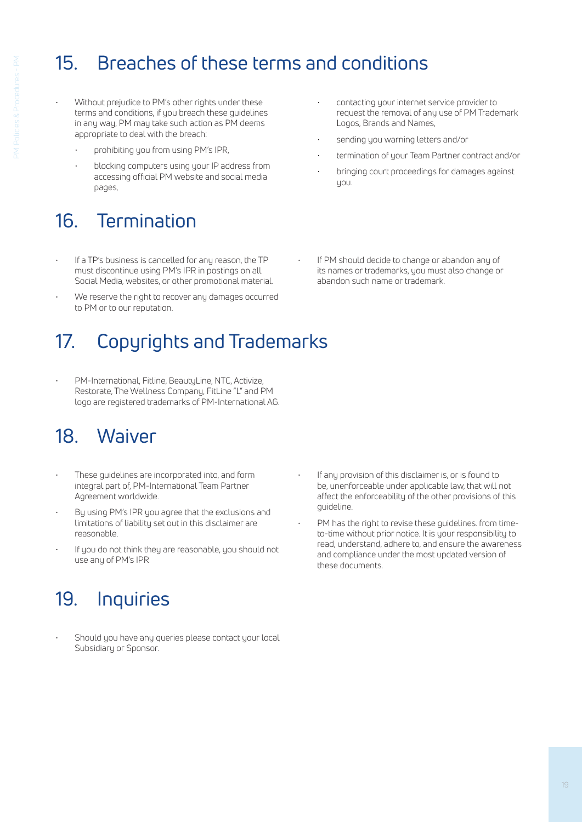# 15. Breaches of these terms and conditions

- Without prejudice to PM's other rights under these terms and conditions, if you breach these guidelines in any way, PM may take such action as PM deems appropriate to deal with the breach:
	- prohibiting you from using PM's IPR.
	- blocking computers using your IP address from accessing official PM website and social media pages,

# 16. Termination

- If a TP's business is cancelled for any reason, the TP must discontinue using PM's IPR in postings on all Social Media, websites, or other promotional material.
- We reserve the right to recover any damages occurred to PM or to our reputation.

# 17. Copyrights and Trademarks

• PM-International, Fitline, BeautyLine, NTC, Activize, Restorate, The Wellness Company, FitLine "L" and PM logo are registered trademarks of PM-International AG.

# 18. Waiver

- These guidelines are incorporated into, and form integral part of, PM-International Team Partner Agreement worldwide.
- By using PM's IPR you agree that the exclusions and limitations of liability set out in this disclaimer are reasonable.
- If you do not think they are reasonable, you should not use any of PM's IPR

# 19. Inquiries

Should you have any queries please contact your local Subsidiary or Sponsor.

- contacting your internet service provider to request the removal of any use of PM Trademark Logos, Brands and Names,
- sending you warning letters and/or
- termination of your Team Partner contract and/or
- bringing court proceedings for damages against you.
- If PM should decide to change or abandon any of its names or trademarks, you must also change or abandon such name or trademark.

- If any provision of this disclaimer is, or is found to be, unenforceable under applicable law, that will not affect the enforceability of the other provisions of this guideline.
- PM has the right to revise these guidelines. from timeto-time without prior notice. It is your responsibility to read, understand, adhere to, and ensure the awareness and compliance under the most updated version of these documents.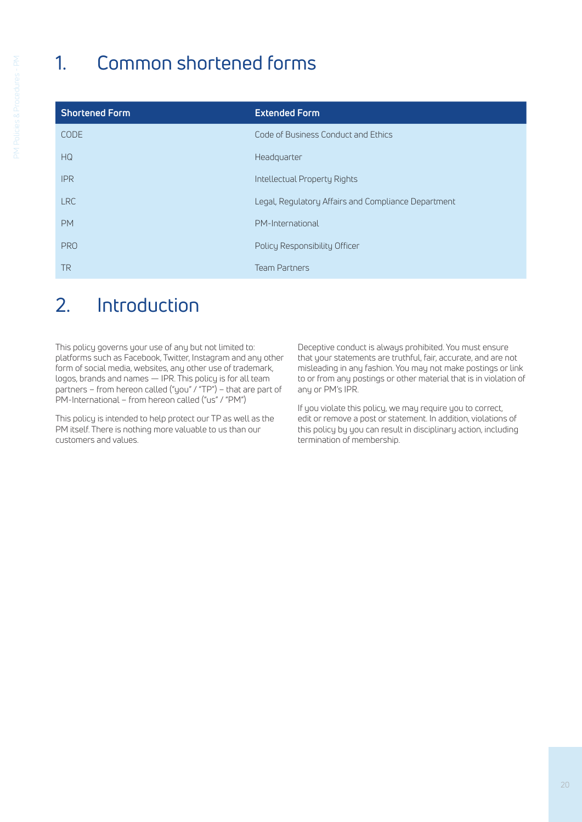# 1. Common shortened forms

| <b>Shortened Form</b> | <b>Extended Form</b>                                |
|-----------------------|-----------------------------------------------------|
| <b>CODE</b>           | Code of Business Conduct and Ethics                 |
| HG                    | Headquarter                                         |
| <b>IPR</b>            | Intellectual Property Rights                        |
| <b>LRC</b>            | Legal, Regulatory Affairs and Compliance Department |
| <b>PM</b>             | PM-International                                    |
| <b>PRO</b>            | Policy Responsibility Officer                       |
| <b>TR</b>             | <b>Team Partners</b>                                |

## 2. Introduction

This policy governs your use of any but not limited to: platforms such as Facebook, Twitter, Instagram and any other form of social media, websites, any other use of trademark, logos, brands and names — IPR. This policy is for all team partners – from hereon called ("you" / "TP") – that are part of PM-International – from hereon called ("us" / "PM")

This policy is intended to help protect our TP as well as the PM itself. There is nothing more valuable to us than our customers and values.

Deceptive conduct is always prohibited. You must ensure that your statements are truthful, fair, accurate, and are not misleading in any fashion. You may not make postings or link to or from any postings or other material that is in violation of any or PM's IPR.

If you violate this policy, we may require you to correct, edit or remove a post or statement. In addition, violations of this policy by you can result in disciplinary action, including termination of membership.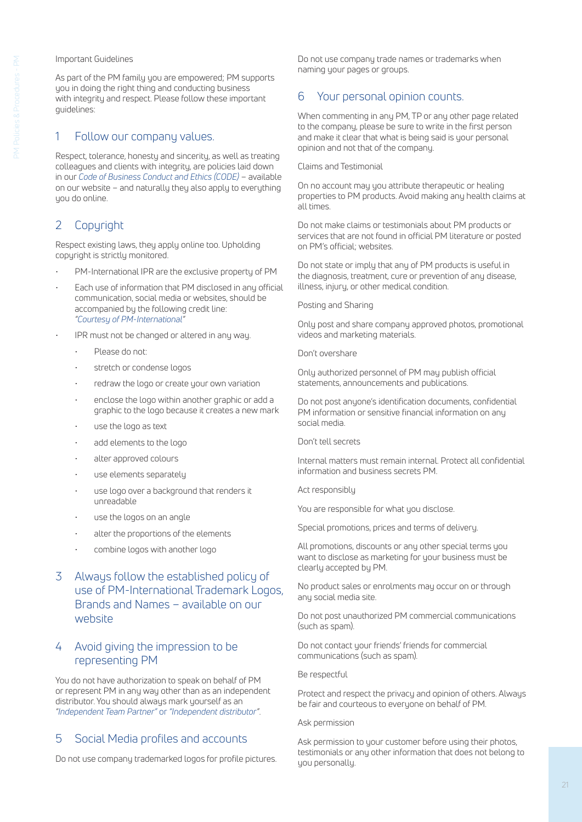#### Important Guidelines

As part of the PM family you are empowered; PM supports you in doing the right thing and conducting business with integrity and respect. Please follow these important guidelines:

### 1 Follow our company values.

Respect, tolerance, honesty and sincerity, as well as treating colleagues and clients with integrity, are policies laid down in our *Code of Business Conduct and Ethics (CODE)* – available on our website – and naturally they also apply to everything you do online.

### 2 Copyright

Respect existing laws, they apply online too. Upholding copyright is strictly monitored.

- PM-International IPR are the exclusive property of PM
- Each use of information that PM disclosed in any official communication, social media or websites, should be accompanied by the following credit line: *"Courtesy of PM-International"*
- IPR must not be changed or altered in any way.
	- Please do not:
	- stretch or condense logos
	- redraw the logo or create your own variation
	- enclose the logo within another graphic or add a graphic to the logo because it creates a new mark
	- use the logo as text
	- add elements to the logo
	- alter approved colours
	- use elements separately
	- use logo over a background that renders it unreadable
	- use the logos on an angle
	- alter the proportions of the elements
	- combine logos with another logo

### 3 Always follow the established policy of use of PM-International Trademark Logos, Brands and Names – available on our website

### 4 Avoid giving the impression to be representing PM

You do not have authorization to speak on behalf of PM or represent PM in any way other than as an independent distributor. You should always mark yourself as an *"Independent Team Partner"* or *"Independent distributor"*.

### 5 Social Media profiles and accounts

Do not use company trademarked logos for profile pictures.

Do not use company trade names or trademarks when naming your pages or groups.

### 6 Your personal opinion counts.

When commenting in any PM, TP or any other page related to the company, please be sure to write in the first person and make it clear that what is being said is your personal opinion and not that of the company.

Claims and Testimonial

On no account may you attribute therapeutic or healing properties to PM products. Avoid making any health claims at all times.

Do not make claims or testimonials about PM products or services that are not found in official PM literature or posted on PM's official; websites.

Do not state or imply that any of PM products is useful in the diagnosis, treatment, cure or prevention of any disease, illness, injury, or other medical condition.

Posting and Sharing

Only post and share company approved photos, promotional videos and marketing materials.

Don't overshare

Only authorized personnel of PM may publish official statements, announcements and publications.

Do not post anyone's identification documents, confidential PM information or sensitive financial information on any social media.

Don't tell secrets

Internal matters must remain internal. Protect all confidential information and business secrets PM.

Act responsibly

You are responsible for what you disclose.

Special promotions, prices and terms of delivery.

All promotions, discounts or any other special terms you want to disclose as marketing for your business must be clearly accepted by PM.

No product sales or enrolments may occur on or through any social media site.

Do not post unauthorized PM commercial communications (such as spam).

Do not contact your friends' friends for commercial communications (such as spam).

Be respectful

Protect and respect the privacy and opinion of others. Always be fair and courteous to everyone on behalf of PM.

Ask permission

Ask permission to your customer before using their photos, testimonials or any other information that does not belong to you personally.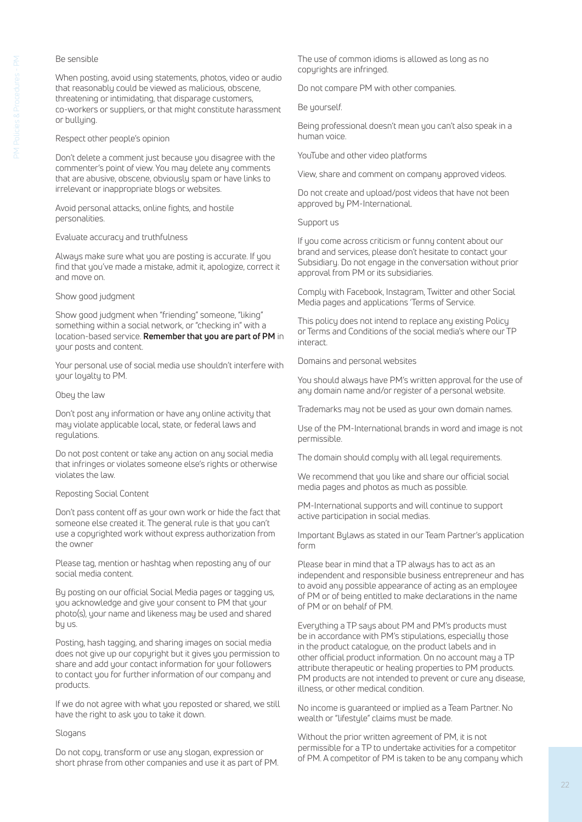### Be sensible

When posting, avoid using statements, photos, video or audio that reasonably could be viewed as malicious, obscene, threatening or intimidating, that disparage customers, co-workers or suppliers, or that might constitute harassment or bullying.

#### Respect other people's opinion

Don't delete a comment just because you disagree with the commenter's point of view. You may delete any comments that are abusive, obscene, obviously spam or have links to irrelevant or inappropriate blogs or websites.

Avoid personal attacks, online fights, and hostile personalities.

#### Evaluate accuracy and truthfulness

Always make sure what you are posting is accurate. If you find that you've made a mistake, admit it, apologize, correct it and move on.

#### Show good judgment

Show good judgment when "friending" someone, "liking" something within a social network, or "checking in" with a location-based service. **Remember that you are part of PM** in your posts and content.

Your personal use of social media use shouldn't interfere with your loyalty to PM.

#### Obey the law

Don't post any information or have any online activity that may violate applicable local, state, or federal laws and regulations.

Do not post content or take any action on any social media that infringes or violates someone else's rights or otherwise violates the law.

### Reposting Social Content

Don't pass content off as your own work or hide the fact that someone else created it. The general rule is that you can't use a copyrighted work without express authorization from the owner

Please tag, mention or hashtag when reposting any of our social media content.

By posting on our official Social Media pages or tagging us, you acknowledge and give your consent to PM that your photo(s), your name and likeness may be used and shared by us.

Posting, hash tagging, and sharing images on social media does not give up our copyright but it gives you permission to share and add your contact information for your followers to contact you for further information of our company and products.

If we do not agree with what you reposted or shared, we still have the right to ask you to take it down.

### Slogans

Do not copy, transform or use any slogan, expression or short phrase from other companies and use it as part of PM.

The use of common idioms is allowed as long as no copyrights are infringed.

Do not compare PM with other companies.

Be yourself.

Being professional doesn't mean you can't also speak in a human voice.

YouTube and other video platforms

View, share and comment on company approved videos.

Do not create and upload/post videos that have not been approved by PM-International.

#### Support us

If you come across criticism or funny content about our brand and services, please don't hesitate to contact your Subsidiary. Do not engage in the conversation without prior approval from PM or its subsidiaries.

Comply with Facebook, Instagram, Twitter and other Social Media pages and applications 'Terms of Service.

This policy does not intend to replace any existing Policy or Terms and Conditions of the social media's where our TP interact.

Domains and personal websites

You should always have PM's written approval for the use of any domain name and/or register of a personal website.

Trademarks may not be used as your own domain names.

Use of the PM-International brands in word and image is not permissible.

The domain should comply with all legal requirements.

We recommend that you like and share our official social media pages and photos as much as possible.

PM-International supports and will continue to support active participation in social medias.

Important Bylaws as stated in our Team Partner's application form

Please bear in mind that a TP always has to act as an independent and responsible business entrepreneur and has to avoid any possible appearance of acting as an employee of PM or of being entitled to make declarations in the name of PM or on behalf of PM.

Everything a TP says about PM and PM's products must be in accordance with PM's stipulations, especially those in the product catalogue, on the product labels and in other official product information. On no account may a TP attribute therapeutic or healing properties to PM products. PM products are not intended to prevent or cure any disease, illness, or other medical condition.

No income is guaranteed or implied as a Team Partner. No wealth or "lifestyle" claims must be made.

Without the prior written agreement of PM, it is not permissible for a TP to undertake activities for a competitor of PM. A competitor of PM is taken to be any company which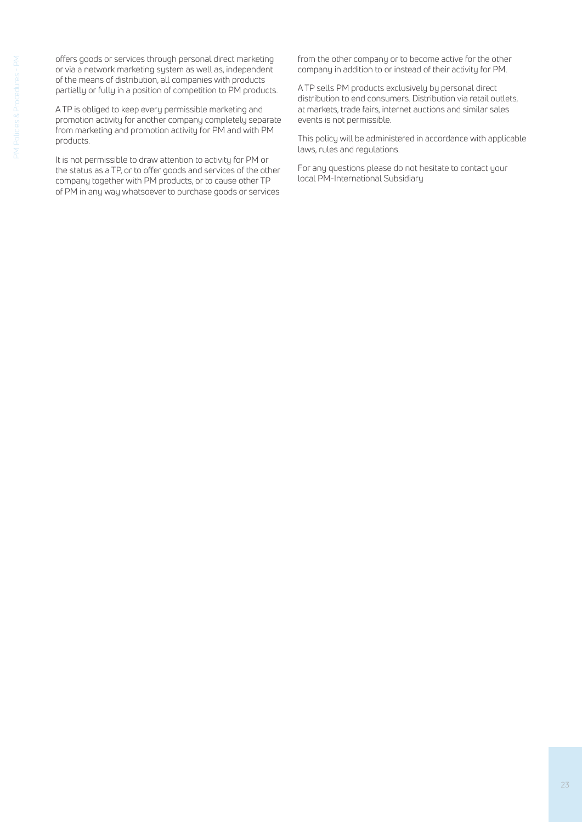offers goods or services through personal direct marketing or via a network marketing system as well as, independent of the means of distribution, all companies with products partially or fully in a position of competition to PM products.

A TP is obliged to keep every permissible marketing and promotion activity for another company completely separate from marketing and promotion activity for PM and with PM products.

It is not permissible to draw attention to activity for PM or the status as a TP, or to offer goods and services of the other company together with PM products, or to cause other TP of PM in any way whatsoever to purchase goods or services from the other company or to become active for the other company in addition to or instead of their activity for PM.

A TP sells PM products exclusively by personal direct distribution to end consumers. Distribution via retail outlets, at markets, trade fairs, internet auctions and similar sales events is not permissible.

This policy will be administered in accordance with applicable laws, rules and regulations.

For any questions please do not hesitate to contact your local PM-International Subsidiary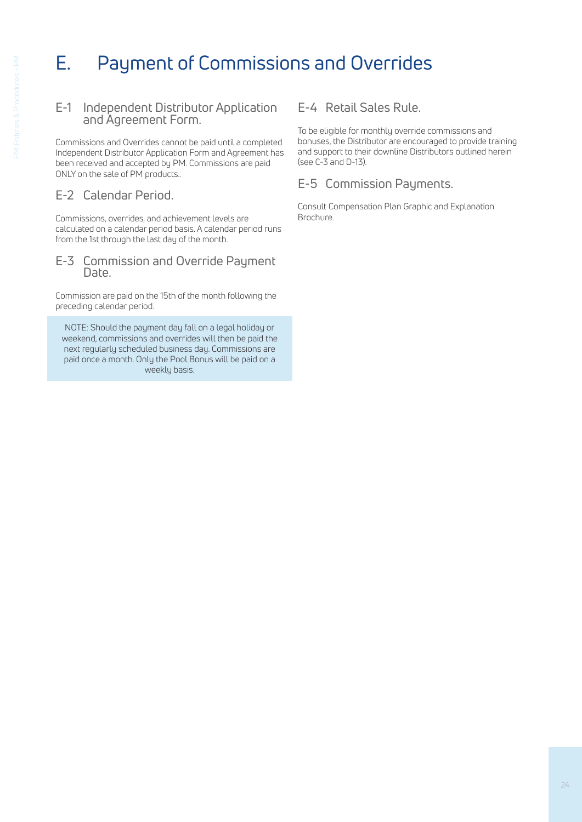# E. Payment of Commissions and Overrides

### E-1 Independent Distributor Application and Agreement Form.

Commissions and Overrides cannot be paid until a completed Independent Distributor Application Form and Agreement has been received and accepted by PM. Commissions are paid ONLY on the sale of PM products..

## E-2 Calendar Period.

Commissions, overrides, and achievement levels are calculated on a calendar period basis. A calendar period runs from the 1st through the last day of the month.

### E-3 Commission and Override Payment Date.

Commission are paid on the 15th of the month following the preceding calendar period.

NOTE: Should the payment day fall on a legal holiday or weekend, commissions and overrides will then be paid the next regularly scheduled business day. Commissions are paid once a month. Only the Pool Bonus will be paid on a weekly basis.

## E-4 Retail Sales Rule.

To be eligible for monthly override commissions and bonuses, the Distributor are encouraged to provide training and support to their downline Distributors outlined herein (see C-3 and D-13).

## E-5 Commission Payments.

Consult Compensation Plan Graphic and Explanation Brochure.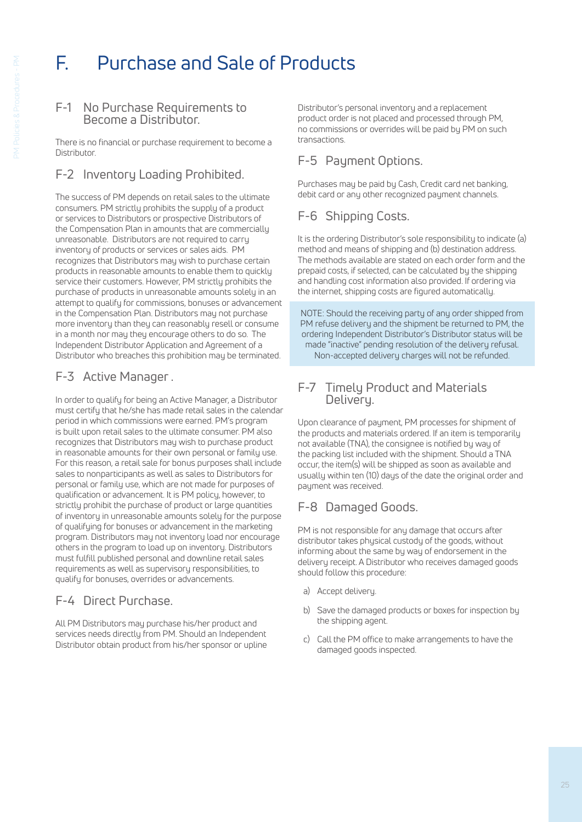# F. Purchase and Sale of Products

### F-1 No Purchase Requirements to Become a Distributor.

There is no financial or purchase requirement to become a **Distributor** 

## F-2 Inventory Loading Prohibited.

The success of PM depends on retail sales to the ultimate consumers. PM strictly prohibits the supply of a product or services to Distributors or prospective Distributors of the Compensation Plan in amounts that are commercially unreasonable. Distributors are not required to carry inventory of products or services or sales aids. PM recognizes that Distributors may wish to purchase certain products in reasonable amounts to enable them to quickly service their customers. However, PM strictly prohibits the purchase of products in unreasonable amounts solely in an attempt to qualify for commissions, bonuses or advancement in the Compensation Plan. Distributors may not purchase more inventory than they can reasonably resell or consume in a month nor may they encourage others to do so. The Independent Distributor Application and Agreement of a Distributor who breaches this prohibition may be terminated.

## F-3 Active Manager .

In order to qualify for being an Active Manager, a Distributor must certify that he/she has made retail sales in the calendar period in which commissions were earned. PM's program is built upon retail sales to the ultimate consumer. PM also recognizes that Distributors may wish to purchase product in reasonable amounts for their own personal or family use. For this reason, a retail sale for bonus purposes shall include sales to nonparticipants as well as sales to Distributors for personal or family use, which are not made for purposes of qualification or advancement. It is PM policy, however, to strictly prohibit the purchase of product or large quantities of inventory in unreasonable amounts solely for the purpose of qualifying for bonuses or advancement in the marketing program. Distributors may not inventory load nor encourage others in the program to load up on inventory. Distributors must fulfill published personal and downline retail sales requirements as well as supervisory responsibilities, to qualify for bonuses, overrides or advancements.

## F-4 Direct Purchase.

All PM Distributors may purchase his/her product and services needs directly from PM. Should an Independent Distributor obtain product from his/her sponsor or upline

Distributor's personal inventory and a replacement product order is not placed and processed through PM, no commissions or overrides will be paid by PM on such transactions.

## F-5 Payment Options.

Purchases may be paid by Cash, Credit card net banking, debit card or any other recognized payment channels.

## F-6 Shipping Costs.

It is the ordering Distributor's sole responsibility to indicate (a) method and means of shipping and (b) destination address. The methods available are stated on each order form and the prepaid costs, if selected, can be calculated by the shipping and handling cost information also provided. If ordering via the internet, shipping costs are figured automatically.

NOTE: Should the receiving party of any order shipped from PM refuse delivery and the shipment be returned to PM, the ordering Independent Distributor's Distributor status will be made "inactive" pending resolution of the delivery refusal. Non-accepted delivery charges will not be refunded.

### F-7 Timely Product and Materials Delivery.

Upon clearance of payment, PM processes for shipment of the products and materials ordered. If an item is temporarily not available (TNA), the consignee is notified by way of the packing list included with the shipment. Should a TNA occur, the item(s) will be shipped as soon as available and usually within ten (10) days of the date the original order and payment was received.

## F-8 Damaged Goods.

PM is not responsible for any damage that occurs after distributor takes physical custody of the goods, without informing about the same by way of endorsement in the delivery receipt. A Distributor who receives damaged goods should follow this procedure:

- a) Accept delivery.
- b) Save the damaged products or boxes for inspection by the shipping agent.
- c) Call the PM office to make arrangements to have the damaged goods inspected.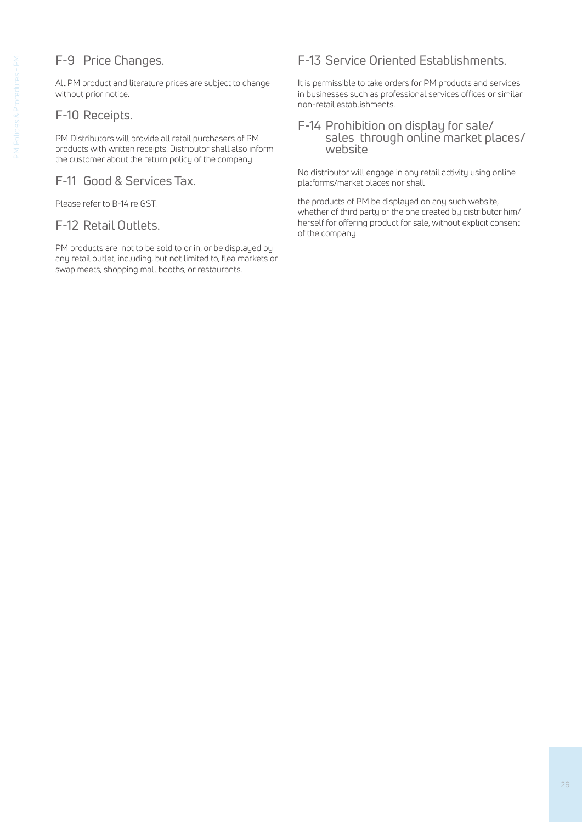## F-9 Price Changes.

All PM product and literature prices are subject to change without prior notice.

### F-10 Receipts.

PM Distributors will provide all retail purchasers of PM products with written receipts. Distributor shall also inform the customer about the return policy of the company.

### F-11 Good & Services Tax.

Please refer to B-14 re GST.

### F-12 Retail Outlets.

PM products are not to be sold to or in, or be displayed by any retail outlet, including, but not limited to, flea markets or swap meets, shopping mall booths, or restaurants.

## F-13 Service Oriented Establishments.

It is permissible to take orders for PM products and services in businesses such as professional services offices or similar non-retail establishments.

### F-14 Prohibition on display for sale/ sales through online market places/ website

No distributor will engage in any retail activity using online platforms/market places nor shall

the products of PM be displayed on any such website, whether of third party or the one created by distributor him/ herself for offering product for sale, without explicit consent of the company.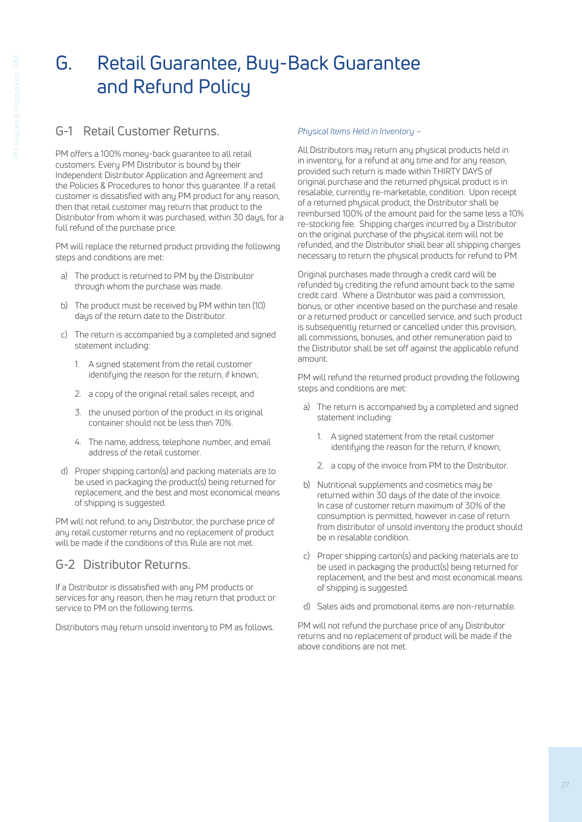# G. Retail Guarantee, Buy-Back Guarantee and Refund Policy

## G-1 Retail Customer Returns.

PM offers a 100% money-back guarantee to all retail customers. Every PM Distributor is bound by their Independent Distributor Application and Agreement and the Policies & Procedures to honor this guarantee. If a retail customer is dissatisfied with any PM product for any reason, then that retail customer may return that product to the Distributor from whom it was purchased, within 30 days, for a full refund of the purchase price.

PM will replace the returned product providing the following steps and conditions are met:

- a) The product is returned to PM by the Distributor through whom the purchase was made.
- b) The product must be received by PM within ten (10) days of the return date to the Distributor.
- c) The return is accompanied by a completed and signed statement including:
	- 1. A signed statement from the retail customer identifuing the reason for the return, if known;
	- 2. a copy of the original retail sales receipt, and
	- 3. the unused portion of the product in its original container should not be less then 70%.
	- 4. The name, address, telephone number, and email address of the retail customer.
- d) Proper shipping carton(s) and packing materials are to be used in packaging the product(s) being returned for replacement, and the best and most economical means of shipping is suggested.

PM will not refund, to any Distributor, the purchase price of any retail customer returns and no replacement of product will be made if the conditions of this Rule are not met.

## G-2 Distributor Returns.

If a Distributor is dissatisfied with any PM products or services for any reason, then he may return that product or service to PM on the following terms.

Distributors may return unsold inventory to PM as follows.

### *Physical Items Held in Inventory –*

All Distributors may return any physical products held in in inventory, for a refund at any time and for any reason, provided such return is made within THIRTY DAYS of original purchase and the returned physical product is in resalable, currently re-marketable, condition. Upon receipt of a returned physical product, the Distributor shall be reimbursed 100% of the amount paid for the same less a 10% re-stocking fee. Shipping charges incurred by a Distributor on the original purchase of the physical item will not be refunded, and the Distributor shall bear all shipping charges necessary to return the physical products for refund to PM.

Original purchases made through a credit card will be refunded by crediting the refund amount back to the same credit card. Where a Distributor was paid a commission, bonus, or other incentive based on the purchase and resale or a returned product or cancelled service, and such product is subsequently returned or cancelled under this provision, all commissions, bonuses, and other remuneration paid to the Distributor shall be set off against the applicable refund amount.

PM will refund the returned product providing the following steps and conditions are met:

- a) The return is accompanied by a completed and signed statement including:
	- 1. A signed statement from the retail customer identifying the reason for the return, if known;
	- 2. a copy of the invoice from PM to the Distributor.
- b) Nutritional supplements and cosmetics may be returned within 30 days of the date of the invoice. In case of customer return maximum of 30% of the consumption is permitted, however in case of return from distributor of unsold inventory the product should be in resalable condition.
- c) Proper shipping carton(s) and packing materials are to be used in packaging the product(s) being returned for replacement, and the best and most economical means of shipping is suggested.
- d) Sales aids and promotional items are non-returnable.

PM will not refund the purchase price of any Distributor returns and no replacement of product will be made if the above conditions are not met.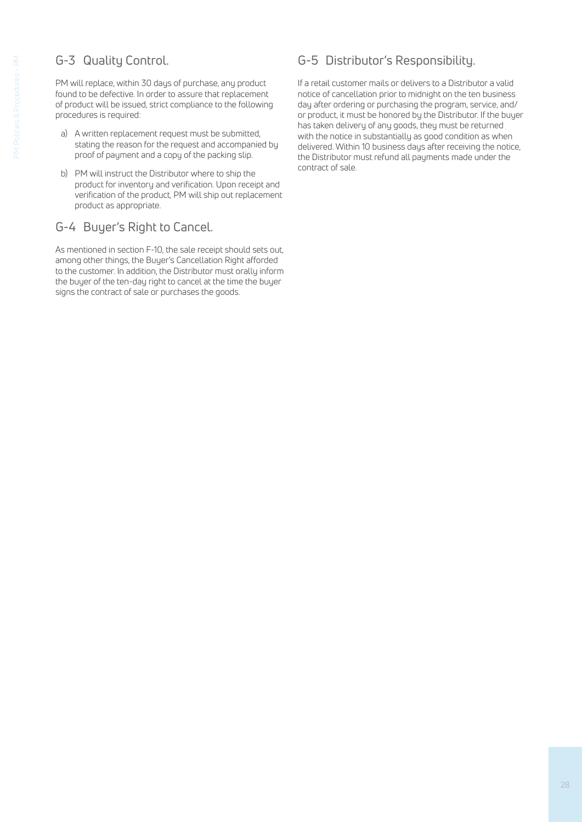## G-3 Quality Control.

PM will replace, within 30 days of purchase, any product found to be defective. In order to assure that replacement of product will be issued, strict compliance to the following procedures is required:

- a) A written replacement request must be submitted, stating the reason for the request and accompanied by proof of payment and a copy of the packing slip.
- b) PM will instruct the Distributor where to ship the product for inventory and verification. Upon receipt and verification of the product, PM will ship out replacement product as appropriate.

## G-4 Buyer's Right to Cancel.

As mentioned in section F-10, the sale receipt should sets out, among other things, the Buyer's Cancellation Right afforded to the customer. In addition, the Distributor must orally inform the buyer of the ten-day right to cancel at the time the buyer signs the contract of sale or purchases the goods.

## G-5 Distributor's Responsibility.

If a retail customer mails or delivers to a Distributor a valid notice of cancellation prior to midnight on the ten business day after ordering or purchasing the program, service, and/ or product, it must be honored by the Distributor. If the buyer has taken delivery of any goods, they must be returned with the notice in substantially as good condition as when delivered. Within 10 business days after receiving the notice, the Distributor must refund all payments made under the contract of sale.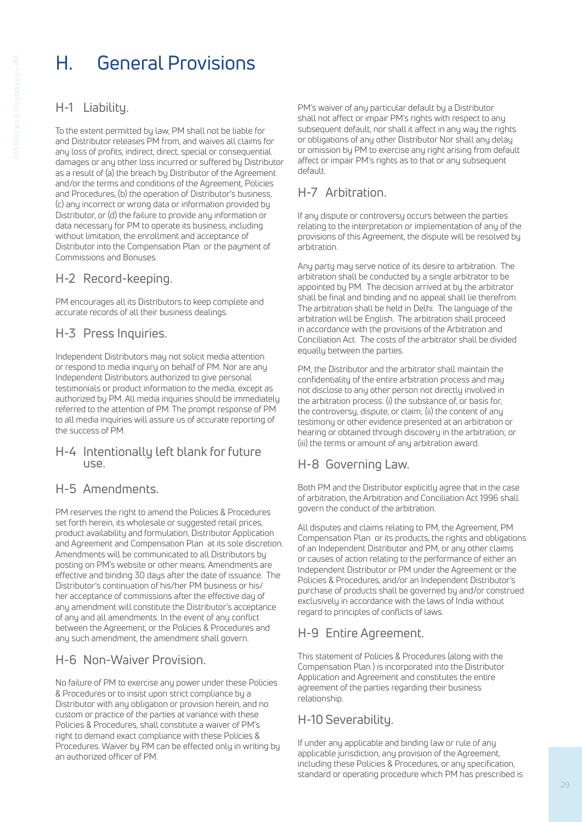# H. General Provisions

## H-1 Liability.

To the extent permitted by law, PM shall not be liable for and Distributor releases PM from, and waives all claims for any loss of profits, indirect, direct, special or consequential damages or any other loss incurred or suffered by Distributor as a result of (a) the breach by Distributor of the Agreement and/or the terms and conditions of the Agreement, Policies and Procedures, (b) the operation of Distributor's business, (c) any incorrect or wrong data or information provided by Distributor, or (d) the failure to provide any information or data necessary for PM to operate its business, including without limitation, the enrollment and acceptance of Distributor into the Compensation Plan or the payment of Commissions and Bonuses.

## H-2 Record-keeping.

PM encourages all its Distributors to keep complete and accurate records of all their business dealings.

## H-3 Press Inquiries.

Independent Distributors may not solicit media attention or respond to media inquiry on behalf of PM. Nor are any Independent Distributors authorized to give personal testimonials or product information to the media, except as authorized by PM. All media inquiries should be immediately referred to the attention of PM. The prompt response of PM to all media inquiries will assure us of accurate reporting of the success of PM.

### H-4 Intentionally left blank for future use.

### H-5 Amendments.

PM reserves the right to amend the Policies & Procedures set forth herein, its wholesale or suggested retail prices, product availability and formulation, Distributor Application and Agreement and Compensation Plan at its sole discretion. Amendments will be communicated to all Distributors by posting on PM's website or other means. Amendments are effective and binding 30 days after the date of issuance. The Distributor's continuation of his/her PM business or his/ her acceptance of commissions after the effective day of any amendment will constitute the Distributor's acceptance of any and all amendments. In the event of any conflict between the Agreement, or the Policies & Procedures and any such amendment, the amendment shall govern.

### H-6 Non-Waiver Provision.

No failure of PM to exercise any power under these Policies & Procedures or to insist upon strict compliance by a Distributor with any obligation or provision herein, and no custom or practice of the parties at variance with these Policies & Procedures, shall constitute a waiver of PM's right to demand exact compliance with these Policies & Procedures. Waiver by PM can be effected only in writing by an authorized officer of PM.

PM's waiver of any particular default by a Distributor shall not affect or impair PM's rights with respect to any subsequent default, nor shall it affect in any way the rights or obligations of any other Distributor Nor shall any delay or omission by PM to exercise any right arising from default affect or impair PM's rights as to that or any subsequent default.

## H-7 Arbitration.

If any dispute or controversy occurs between the parties relating to the interpretation or implementation of any of the provisions of this Agreement, the dispute will be resolved by arbitration.

Any party may serve notice of its desire to arbitration. The arbitration shall be conducted by a single arbitrator to be appointed by PM. The decision arrived at by the arbitrator shall be final and binding and no appeal shall lie therefrom. The arbitration shall be held in Delhi. The language of the arbitration will be English. The arbitration shall proceed in accordance with the provisions of the Arbitration and Conciliation Act. The costs of the arbitrator shall be divided equally between the parties.

PM, the Distributor and the arbitrator shall maintain the confidentiality of the entire arbitration process and may not disclose to any other person not directly involved in the arbitration process: (i) the substance of, or basis for, the controversy, dispute, or claim; (ii) the content of any testimony or other evidence presented at an arbitration or hearing or obtained through discovery in the arbitration; or (iii) the terms or amount of any arbitration award.

## H-8 Governing Law.

Both PM and the Distributor explicitly agree that in the case of arbitration, the Arbitration and Conciliation Act 1996 shall govern the conduct of the arbitration.

All disputes and claims relating to PM, the Agreement, PM Compensation Plan or its products, the rights and obligations of an Independent Distributor and PM, or any other claims or causes of action relating to the performance of either an Independent Distributor or PM under the Agreement or the Policies & Procedures, and/or an Independent Distributor's purchase of products shall be governed by and/or construed exclusively in accordance with the laws of India without regard to principles of conflicts of laws.

## H-9 Entire Agreement.

This statement of Policies & Procedures (along with the Compensation Plan ) is incorporated into the Distributor Application and Agreement and constitutes the entire agreement of the parties regarding their business relationship.

## H-10 Severability.

If under any applicable and binding law or rule of any applicable jurisdiction, any provision of the Agreement, including these Policies & Procedures, or any specification, standard or operating procedure which PM has prescribed is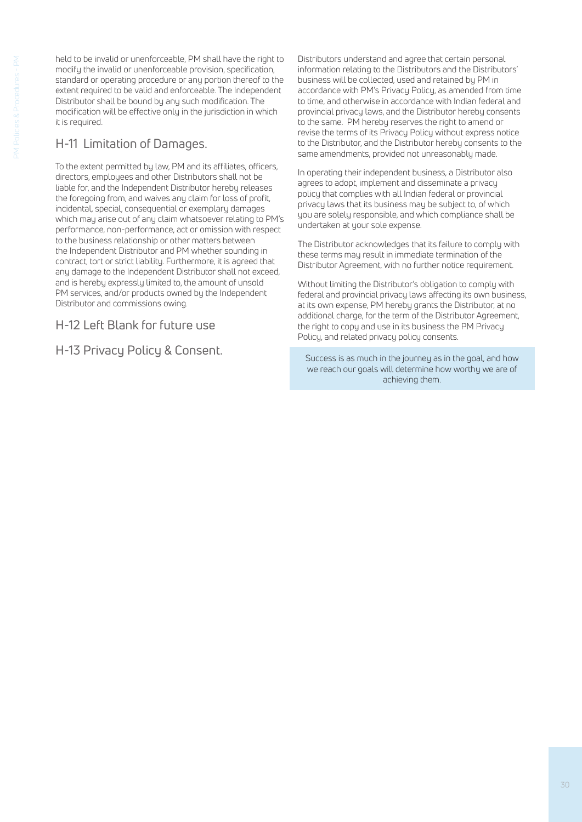held to be invalid or unenforceable, PM shall have the right to modify the invalid or unenforceable provision, specification, standard or operating procedure or any portion thereof to the extent required to be valid and enforceable. The Independent Distributor shall be bound by any such modification. The modification will be effective only in the jurisdiction in which it is required.

## H-11 Limitation of Damages.

To the extent permitted by law, PM and its affiliates, officers, directors, employees and other Distributors shall not be liable for, and the Independent Distributor hereby releases the foregoing from, and waives any claim for loss of profit, incidental, special, consequential or exemplary damages which may arise out of any claim whatsoever relating to PM's performance, non-performance, act or omission with respect to the business relationship or other matters between the Independent Distributor and PM whether sounding in contract, tort or strict liability. Furthermore, it is agreed that any damage to the Independent Distributor shall not exceed, and is hereby expressly limited to, the amount of unsold PM services, and/or products owned by the Independent Distributor and commissions owing.

H-12 Left Blank for future use

H-13 Privacy Policy & Consent.

Distributors understand and agree that certain personal information relating to the Distributors and the Distributors' business will be collected, used and retained by PM in accordance with PM's Privacy Policy, as amended from time to time, and otherwise in accordance with Indian federal and provincial privacy laws, and the Distributor hereby consents to the same. PM hereby reserves the right to amend or revise the terms of its Privacy Policy without express notice to the Distributor, and the Distributor hereby consents to the same amendments, provided not unreasonably made.

In operating their independent business, a Distributor also agrees to adopt, implement and disseminate a privacy policy that complies with all Indian federal or provincial privacy laws that its business may be subject to, of which you are solely responsible, and which compliance shall be undertaken at your sole expense.

The Distributor acknowledges that its failure to comply with these terms may result in immediate termination of the Distributor Agreement, with no further notice requirement.

Without limiting the Distributor's obligation to comply with federal and provincial privacy laws affecting its own business, at its own expense, PM hereby grants the Distributor, at no additional charge, for the term of the Distributor Agreement, the right to copy and use in its business the PM Privacy Policy, and related privacy policy consents.

Success is as much in the journey as in the goal, and how we reach our goals will determine how worthy we are of achieving them.